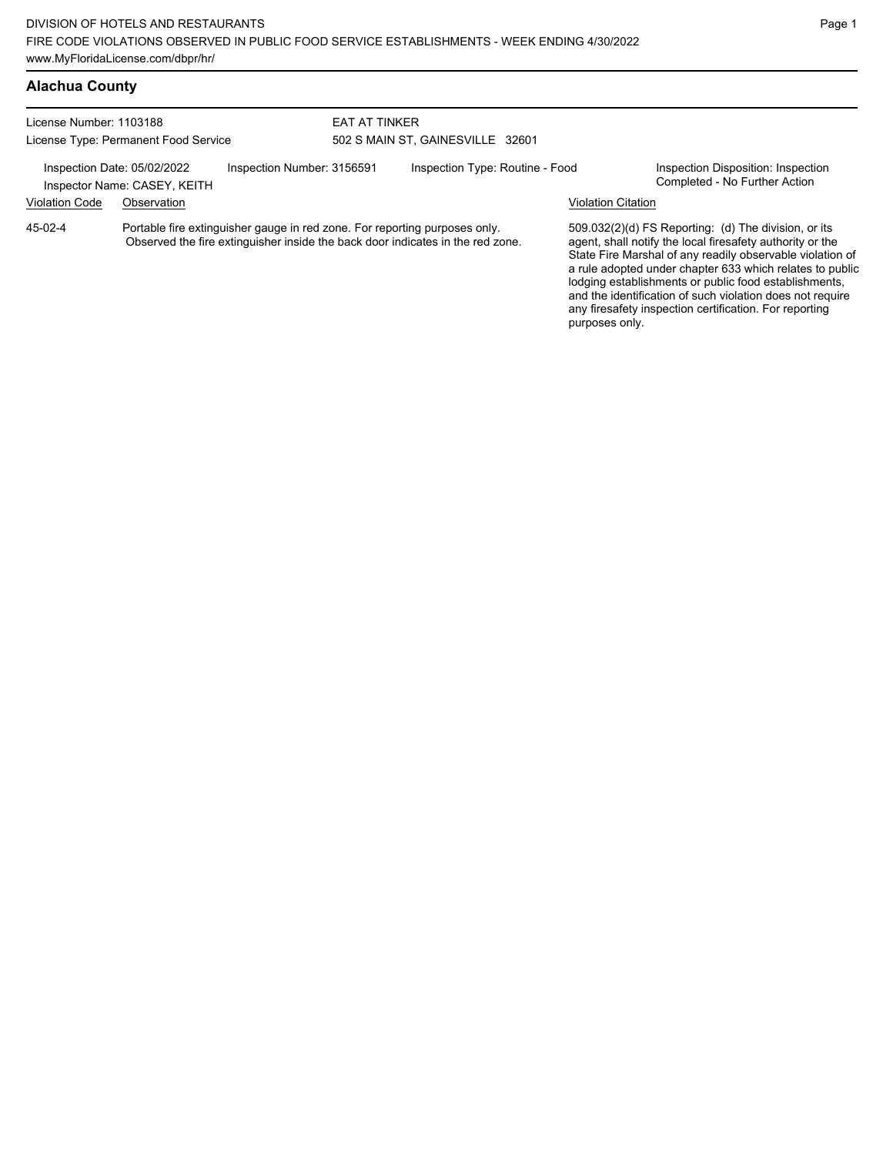### **Alachua County**

| License Number: 1103188                                                                   | License Type: Permanent Food Service |                                                                            | EAT AT TINKER | 502 S MAIN ST, GAINESVILLE 32601                                               |                                                                     |                                                                                                                                                                                                                                                                                                                                                                  |
|-------------------------------------------------------------------------------------------|--------------------------------------|----------------------------------------------------------------------------|---------------|--------------------------------------------------------------------------------|---------------------------------------------------------------------|------------------------------------------------------------------------------------------------------------------------------------------------------------------------------------------------------------------------------------------------------------------------------------------------------------------------------------------------------------------|
| Inspection Date: 05/02/2022<br>Inspection Number: 3156591<br>Inspector Name: CASEY, KEITH |                                      | Inspection Type: Routine - Food                                            |               |                                                                                | Inspection Disposition: Inspection<br>Completed - No Further Action |                                                                                                                                                                                                                                                                                                                                                                  |
| <b>Violation Code</b>                                                                     | Observation                          |                                                                            |               |                                                                                | Violation Citation                                                  |                                                                                                                                                                                                                                                                                                                                                                  |
| 45-02-4                                                                                   |                                      | Portable fire extinguisher gauge in red zone. For reporting purposes only. |               | Observed the fire extinguisher inside the back door indicates in the red zone. |                                                                     | 509.032(2)(d) FS Reporting: (d) The division, or its<br>agent, shall notify the local firesafety authority or the<br>State Fire Marshal of any readily observable violation of<br>a rule adopted under chapter 633 which relates to public<br>lodging establishments or public food establishments,<br>and the identification of such violation does not require |

any firesafety inspection certification. For reporting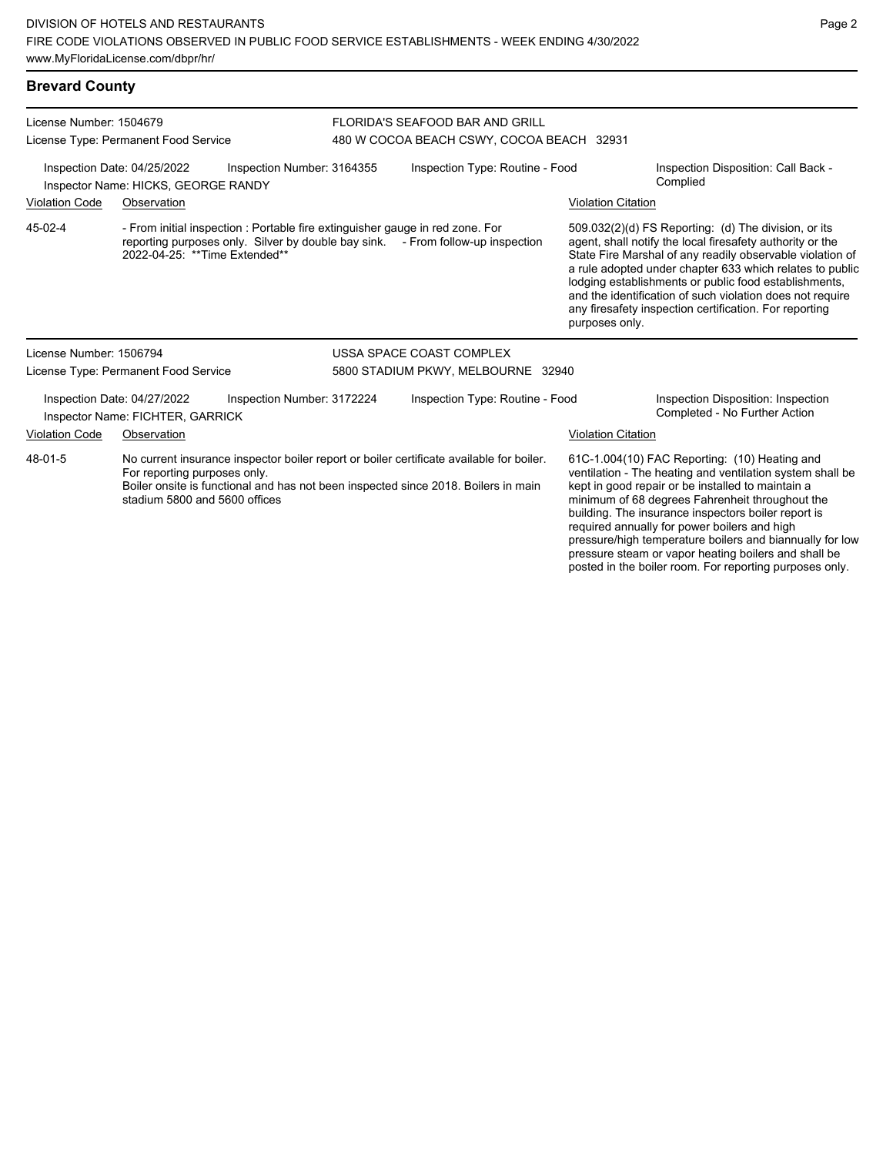### **Brevard County**

| License Number: 1504679 | License Type: Permanent Food Service                               |                                                                                                                                                                                | FLORIDA'S SEAFOOD BAR AND GRILL<br>480 W COCOA BEACH CSWY, COCOA BEACH 32931 |                                                                                                                                                                                                                                                                                                                                                                                                                                              |  |  |
|-------------------------|--------------------------------------------------------------------|--------------------------------------------------------------------------------------------------------------------------------------------------------------------------------|------------------------------------------------------------------------------|----------------------------------------------------------------------------------------------------------------------------------------------------------------------------------------------------------------------------------------------------------------------------------------------------------------------------------------------------------------------------------------------------------------------------------------------|--|--|
|                         | Inspection Date: 04/25/2022<br>Inspector Name: HICKS, GEORGE RANDY | Inspection Number: 3164355                                                                                                                                                     | Inspection Type: Routine - Food                                              | Inspection Disposition: Call Back -<br>Complied                                                                                                                                                                                                                                                                                                                                                                                              |  |  |
| <b>Violation Code</b>   | Observation                                                        |                                                                                                                                                                                |                                                                              | <b>Violation Citation</b>                                                                                                                                                                                                                                                                                                                                                                                                                    |  |  |
| 45-02-4                 | 2022-04-25: **Time Extended**                                      | - From initial inspection : Portable fire extinguisher gauge in red zone. For<br>reporting purposes only. Silver by double bay sink. - From follow-up inspection               |                                                                              | 509.032(2)(d) FS Reporting: (d) The division, or its<br>agent, shall notify the local firesafety authority or the<br>State Fire Marshal of any readily observable violation of<br>a rule adopted under chapter 633 which relates to public<br>lodging establishments or public food establishments,<br>and the identification of such violation does not require<br>any firesafety inspection certification. For reporting<br>purposes only. |  |  |
| License Number: 1506794 |                                                                    |                                                                                                                                                                                | USSA SPACE COAST COMPLEX                                                     |                                                                                                                                                                                                                                                                                                                                                                                                                                              |  |  |
|                         | License Type: Permanent Food Service                               |                                                                                                                                                                                | 5800 STADIUM PKWY, MELBOURNE 32940                                           |                                                                                                                                                                                                                                                                                                                                                                                                                                              |  |  |
|                         | Inspection Date: 04/27/2022<br>Inspector Name: FICHTER, GARRICK    | Inspection Number: 3172224                                                                                                                                                     | Inspection Type: Routine - Food                                              | Inspection Disposition: Inspection<br>Completed - No Further Action                                                                                                                                                                                                                                                                                                                                                                          |  |  |
| <b>Violation Code</b>   | Observation                                                        |                                                                                                                                                                                |                                                                              | <b>Violation Citation</b>                                                                                                                                                                                                                                                                                                                                                                                                                    |  |  |
| 48-01-5                 | For reporting purposes only.<br>stadium 5800 and 5600 offices      | No current insurance inspector boiler report or boiler certificate available for boiler.<br>Boiler onsite is functional and has not been inspected since 2018. Boilers in main |                                                                              | 61C-1.004(10) FAC Reporting: (10) Heating and<br>ventilation - The heating and ventilation system shall be<br>kept in good repair or be installed to maintain a<br>minimum of 68 degrees Fahrenheit throughout the<br>building. The insurance inspectors boiler report is<br>required annually for power boilers and high                                                                                                                    |  |  |

pressure/high temperature boilers and biannually for low pressure steam or vapor heating boilers and shall be posted in the boiler room. For reporting purposes only.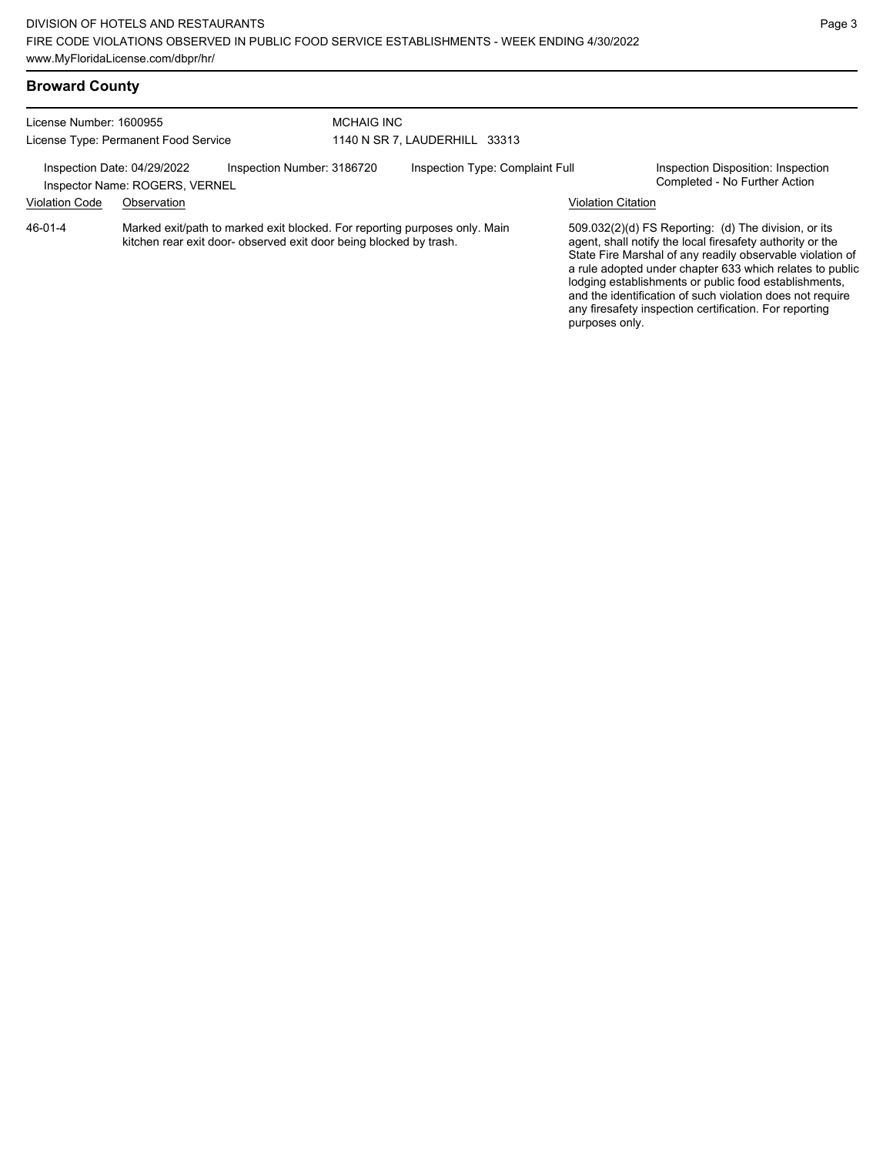| License Number: 1600955                                                                     |             |                                                                                                                                                  | <b>MCHAIG INC</b>               |  |                    |                                                                                                                                                                                                                                                                                                                                                                                                                            |  |
|---------------------------------------------------------------------------------------------|-------------|--------------------------------------------------------------------------------------------------------------------------------------------------|---------------------------------|--|--------------------|----------------------------------------------------------------------------------------------------------------------------------------------------------------------------------------------------------------------------------------------------------------------------------------------------------------------------------------------------------------------------------------------------------------------------|--|
| License Type: Permanent Food Service                                                        |             |                                                                                                                                                  | 1140 N SR 7, LAUDERHILL 33313   |  |                    |                                                                                                                                                                                                                                                                                                                                                                                                                            |  |
| Inspection Date: 04/29/2022<br>Inspection Number: 3186720<br>Inspector Name: ROGERS, VERNEL |             |                                                                                                                                                  | Inspection Type: Complaint Full |  |                    | Inspection Disposition: Inspection<br>Completed - No Further Action                                                                                                                                                                                                                                                                                                                                                        |  |
| <b>Violation Code</b>                                                                       | Observation |                                                                                                                                                  |                                 |  | Violation Citation |                                                                                                                                                                                                                                                                                                                                                                                                                            |  |
| 46-01-4                                                                                     |             | Marked exit/path to marked exit blocked. For reporting purposes only. Main<br>kitchen rear exit door- observed exit door being blocked by trash. |                                 |  | purposes only.     | 509.032(2)(d) FS Reporting: (d) The division, or its<br>agent, shall notify the local firesafety authority or the<br>State Fire Marshal of any readily observable violation of<br>a rule adopted under chapter 633 which relates to public<br>lodging establishments or public food establishments,<br>and the identification of such violation does not require<br>any firesafety inspection certification. For reporting |  |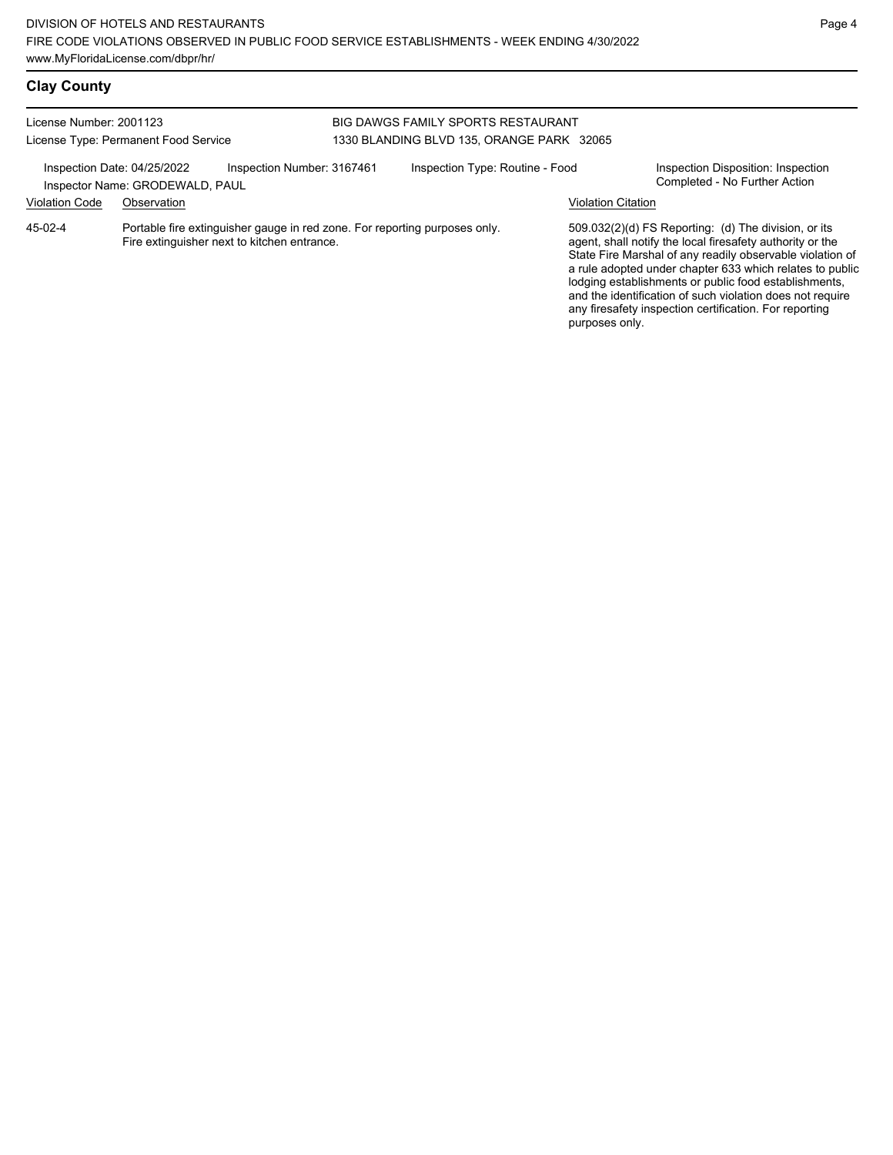# **Clay County**

| License Number: 2001123     | License Type: Permanent Food Service                                                                                      |                            | <b>BIG DAWGS FAMILY SPORTS RESTAURANT</b><br>1330 BLANDING BLVD 135, ORANGE PARK 32065 |                           |                                                                                                                                                                                                                                                                                                                                                                                                                            |
|-----------------------------|---------------------------------------------------------------------------------------------------------------------------|----------------------------|----------------------------------------------------------------------------------------|---------------------------|----------------------------------------------------------------------------------------------------------------------------------------------------------------------------------------------------------------------------------------------------------------------------------------------------------------------------------------------------------------------------------------------------------------------------|
| Inspection Date: 04/25/2022 | Inspector Name: GRODEWALD, PAUL                                                                                           | Inspection Number: 3167461 | Inspection Type: Routine - Food                                                        |                           | Inspection Disposition: Inspection<br>Completed - No Further Action                                                                                                                                                                                                                                                                                                                                                        |
| <b>Violation Code</b>       | Observation                                                                                                               |                            |                                                                                        | <b>Violation Citation</b> |                                                                                                                                                                                                                                                                                                                                                                                                                            |
| 45-02-4                     | Portable fire extinguisher gauge in red zone. For reporting purposes only.<br>Fire extinguisher next to kitchen entrance. |                            |                                                                                        | purposes only.            | 509.032(2)(d) FS Reporting: (d) The division, or its<br>agent, shall notify the local firesafety authority or the<br>State Fire Marshal of any readily observable violation of<br>a rule adopted under chapter 633 which relates to public<br>lodging establishments or public food establishments,<br>and the identification of such violation does not require<br>any firesafety inspection certification. For reporting |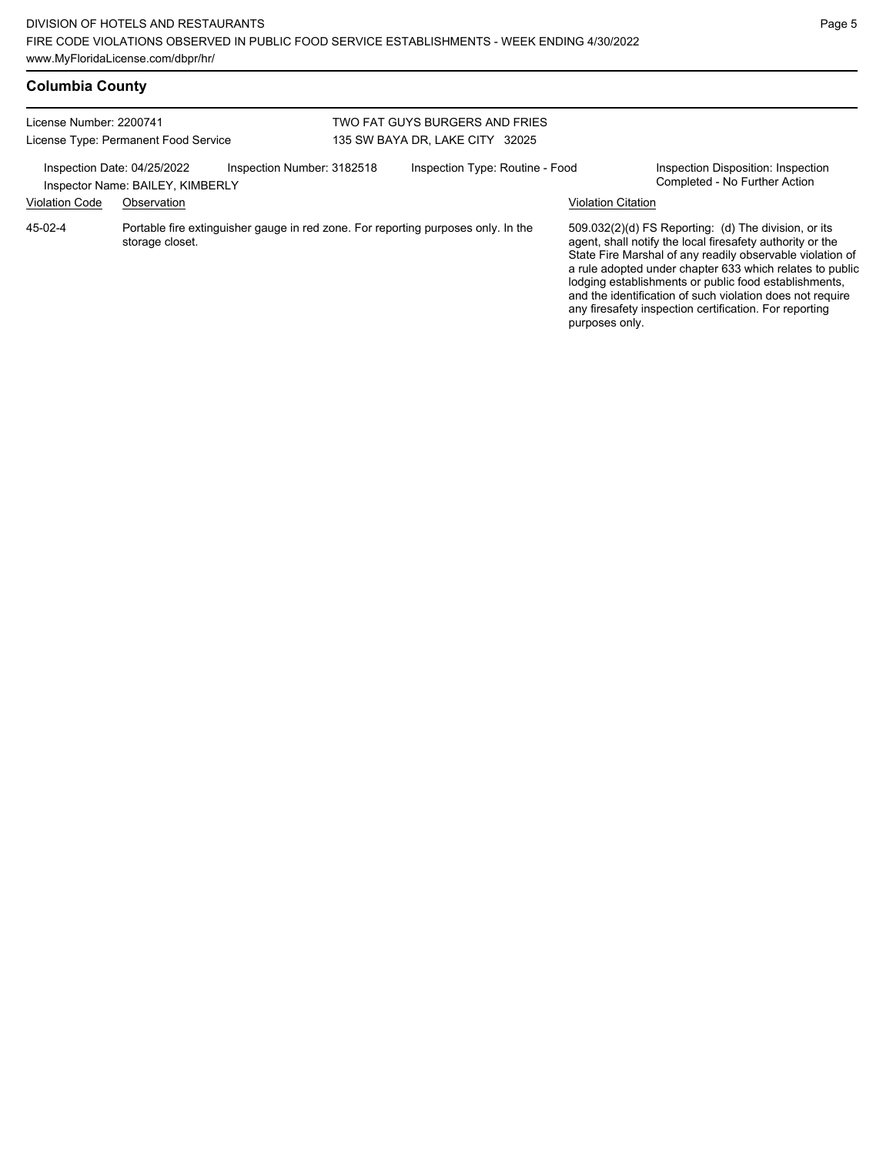| <b>Columbia County</b> |  |
|------------------------|--|
|------------------------|--|

| License Number: 2200741<br>License Type: Permanent Food Service |                                                                                |                                                                                   | TWO FAT GUYS BURGERS AND FRIES<br>135 SW BAYA DR, LAKE CITY 32025 |                                 |  |                                                                                                                                                                                                                                                                                                                                                                                                                                              |  |
|-----------------------------------------------------------------|--------------------------------------------------------------------------------|-----------------------------------------------------------------------------------|-------------------------------------------------------------------|---------------------------------|--|----------------------------------------------------------------------------------------------------------------------------------------------------------------------------------------------------------------------------------------------------------------------------------------------------------------------------------------------------------------------------------------------------------------------------------------------|--|
| <b>Violation Code</b>                                           | Inspection Date: 04/25/2022<br>Inspector Name: BAILEY, KIMBERLY<br>Observation | Inspection Number: 3182518                                                        |                                                                   | Inspection Type: Routine - Food |  | Inspection Disposition: Inspection<br>Completed - No Further Action<br><b>Violation Citation</b>                                                                                                                                                                                                                                                                                                                                             |  |
| 45-02-4                                                         | storage closet.                                                                | Portable fire extinguisher gauge in red zone. For reporting purposes only. In the |                                                                   |                                 |  | 509.032(2)(d) FS Reporting: (d) The division, or its<br>agent, shall notify the local firesafety authority or the<br>State Fire Marshal of any readily observable violation of<br>a rule adopted under chapter 633 which relates to public<br>lodging establishments or public food establishments,<br>and the identification of such violation does not require<br>any firesafety inspection certification. For reporting<br>purposes only. |  |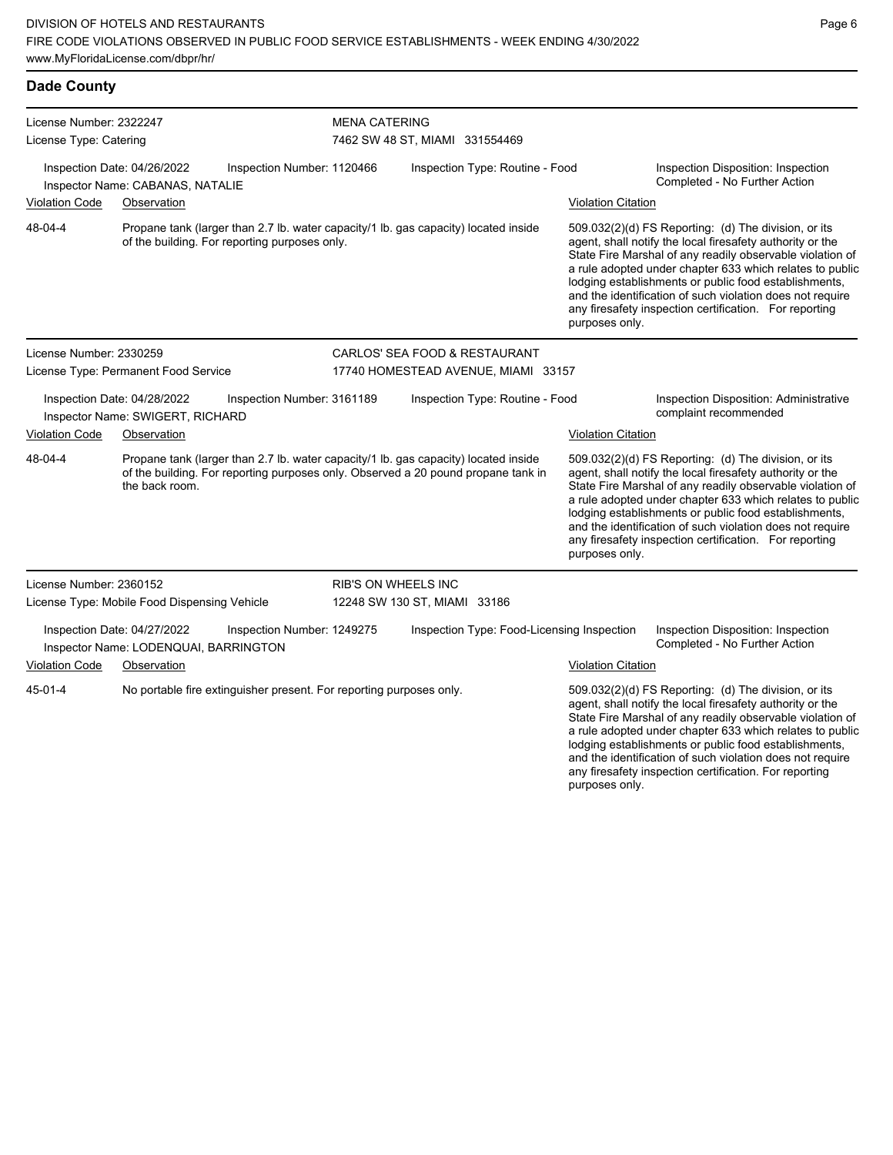| <b>Dade County</b>                                              |                                                                      |                                                                     |                                                                                                                                                                          |                           |                                                                                                                                                                                                                                                                                                                                                                                                                                              |  |  |  |
|-----------------------------------------------------------------|----------------------------------------------------------------------|---------------------------------------------------------------------|--------------------------------------------------------------------------------------------------------------------------------------------------------------------------|---------------------------|----------------------------------------------------------------------------------------------------------------------------------------------------------------------------------------------------------------------------------------------------------------------------------------------------------------------------------------------------------------------------------------------------------------------------------------------|--|--|--|
| License Number: 2322247                                         |                                                                      |                                                                     | <b>MENA CATERING</b>                                                                                                                                                     |                           |                                                                                                                                                                                                                                                                                                                                                                                                                                              |  |  |  |
| License Type: Catering                                          |                                                                      |                                                                     | 7462 SW 48 ST, MIAMI 331554469                                                                                                                                           |                           |                                                                                                                                                                                                                                                                                                                                                                                                                                              |  |  |  |
|                                                                 | Inspection Date: 04/26/2022<br>Inspector Name: CABANAS, NATALIE      | Inspection Number: 1120466                                          | Inspection Type: Routine - Food                                                                                                                                          |                           | Inspection Disposition: Inspection<br>Completed - No Further Action                                                                                                                                                                                                                                                                                                                                                                          |  |  |  |
| <b>Violation Code</b>                                           | Observation                                                          |                                                                     |                                                                                                                                                                          | <b>Violation Citation</b> |                                                                                                                                                                                                                                                                                                                                                                                                                                              |  |  |  |
| 48-04-4                                                         | of the building. For reporting purposes only.                        |                                                                     | Propane tank (larger than 2.7 lb. water capacity/1 lb. gas capacity) located inside                                                                                      |                           | 509.032(2)(d) FS Reporting: (d) The division, or its<br>agent, shall notify the local firesafety authority or the<br>State Fire Marshal of any readily observable violation of<br>a rule adopted under chapter 633 which relates to public<br>lodging establishments or public food establishments,<br>and the identification of such violation does not require<br>any firesafety inspection certification. For reporting<br>purposes only. |  |  |  |
| License Number: 2330259                                         |                                                                      |                                                                     | CARLOS' SEA FOOD & RESTAURANT                                                                                                                                            |                           |                                                                                                                                                                                                                                                                                                                                                                                                                                              |  |  |  |
| License Type: Permanent Food Service                            |                                                                      |                                                                     | 17740 HOMESTEAD AVENUE, MIAMI 33157                                                                                                                                      |                           |                                                                                                                                                                                                                                                                                                                                                                                                                                              |  |  |  |
| Inspection Date: 04/28/2022<br>Inspector Name: SWIGERT, RICHARD |                                                                      | Inspection Number: 3161189                                          | Inspection Type: Routine - Food                                                                                                                                          |                           | Inspection Disposition: Administrative<br>complaint recommended                                                                                                                                                                                                                                                                                                                                                                              |  |  |  |
| <b>Violation Code</b>                                           | Observation                                                          |                                                                     |                                                                                                                                                                          | <b>Violation Citation</b> |                                                                                                                                                                                                                                                                                                                                                                                                                                              |  |  |  |
| 48-04-4                                                         | the back room.                                                       |                                                                     | Propane tank (larger than 2.7 lb. water capacity/1 lb. gas capacity) located inside<br>of the building. For reporting purposes only. Observed a 20 pound propane tank in | purposes only.            | 509.032(2)(d) FS Reporting: (d) The division, or its<br>agent, shall notify the local firesafety authority or the<br>State Fire Marshal of any readily observable violation of<br>a rule adopted under chapter 633 which relates to public<br>lodging establishments or public food establishments,<br>and the identification of such violation does not require<br>any firesafety inspection certification. For reporting                   |  |  |  |
| License Number: 2360152                                         |                                                                      |                                                                     | <b>RIB'S ON WHEELS INC</b>                                                                                                                                               |                           |                                                                                                                                                                                                                                                                                                                                                                                                                                              |  |  |  |
| License Type: Mobile Food Dispensing Vehicle                    |                                                                      |                                                                     | 12248 SW 130 ST, MIAMI 33186                                                                                                                                             |                           |                                                                                                                                                                                                                                                                                                                                                                                                                                              |  |  |  |
|                                                                 | Inspection Date: 04/27/2022<br>Inspector Name: LODENQUAI, BARRINGTON | Inspection Number: 1249275                                          | Inspection Type: Food-Licensing Inspection                                                                                                                               |                           | Inspection Disposition: Inspection<br>Completed - No Further Action                                                                                                                                                                                                                                                                                                                                                                          |  |  |  |
| <b>Violation Code</b>                                           | Observation                                                          |                                                                     |                                                                                                                                                                          | <b>Violation Citation</b> |                                                                                                                                                                                                                                                                                                                                                                                                                                              |  |  |  |
| $45 - 01 - 4$                                                   |                                                                      | No portable fire extinguisher present. For reporting purposes only. |                                                                                                                                                                          |                           | 509.032(2)(d) FS Reporting: (d) The division, or its<br>agent, shall notify the local firesafety authority or the<br>State Fire Marshal of any readily observable violation of                                                                                                                                                                                                                                                               |  |  |  |

a rule adopted under chapter 633 which relates to public lodging establishments or public food establishments, and the identification of such violation does not require any firesafety inspection certification. For reporting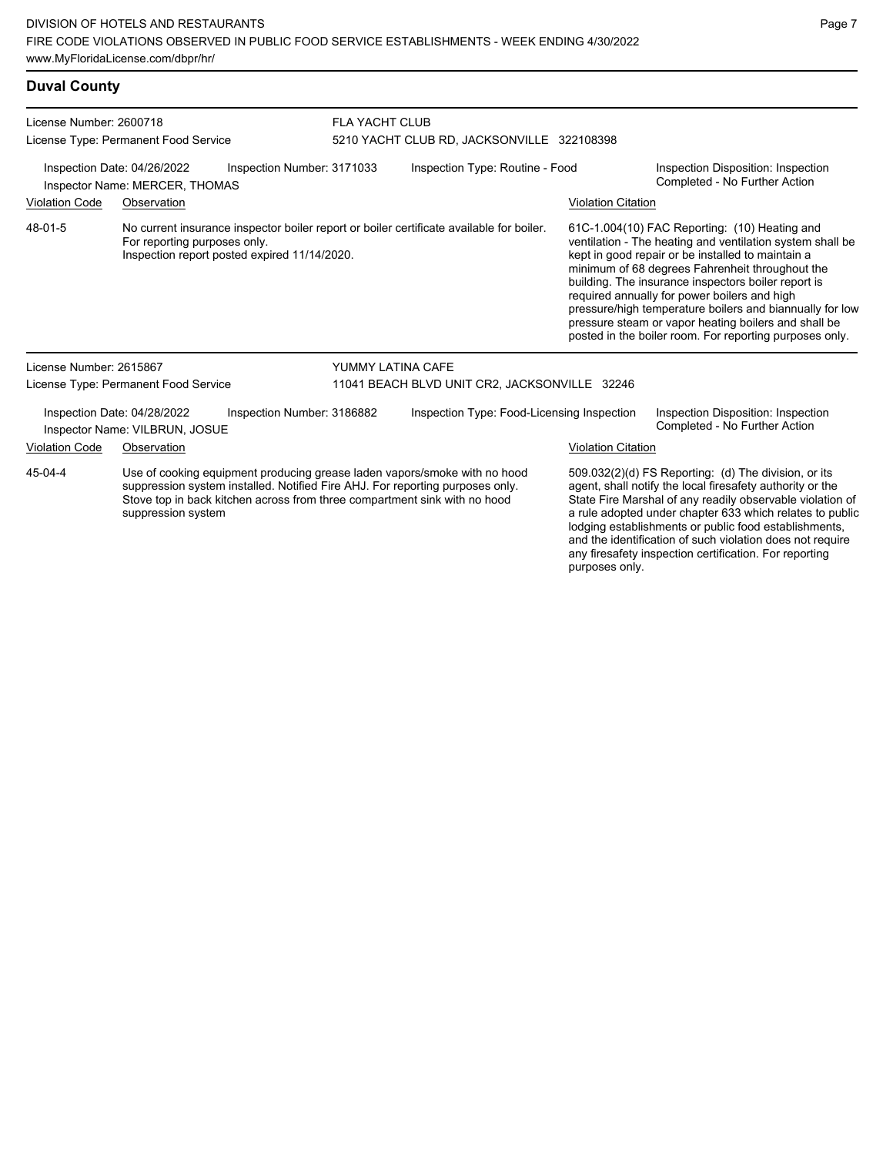## **Duval County**

| License Number: 2600718                                                                                                                                                                                                                                                  |                                                                     |                                                                                                                                          | <b>FLA YACHT CLUB</b>                                                         |                           |                                                                                                                                                                                                                                                                                                                                                                                                                                                                                                          |  |
|--------------------------------------------------------------------------------------------------------------------------------------------------------------------------------------------------------------------------------------------------------------------------|---------------------------------------------------------------------|------------------------------------------------------------------------------------------------------------------------------------------|-------------------------------------------------------------------------------|---------------------------|----------------------------------------------------------------------------------------------------------------------------------------------------------------------------------------------------------------------------------------------------------------------------------------------------------------------------------------------------------------------------------------------------------------------------------------------------------------------------------------------------------|--|
|                                                                                                                                                                                                                                                                          | License Type: Permanent Food Service<br>Inspection Date: 04/26/2022 | Inspection Number: 3171033                                                                                                               | 5210 YACHT CLUB RD, JACKSONVILLE 322108398<br>Inspection Type: Routine - Food |                           |                                                                                                                                                                                                                                                                                                                                                                                                                                                                                                          |  |
|                                                                                                                                                                                                                                                                          | Inspector Name: MERCER, THOMAS                                      |                                                                                                                                          |                                                                               |                           | Inspection Disposition: Inspection<br>Completed - No Further Action                                                                                                                                                                                                                                                                                                                                                                                                                                      |  |
| <b>Violation Code</b>                                                                                                                                                                                                                                                    | Observation                                                         |                                                                                                                                          |                                                                               |                           | <b>Violation Citation</b>                                                                                                                                                                                                                                                                                                                                                                                                                                                                                |  |
| 48-01-5                                                                                                                                                                                                                                                                  | For reporting purposes only.                                        | No current insurance inspector boiler report or boiler certificate available for boiler.<br>Inspection report posted expired 11/14/2020. |                                                                               |                           | 61C-1.004(10) FAC Reporting: (10) Heating and<br>ventilation - The heating and ventilation system shall be<br>kept in good repair or be installed to maintain a<br>minimum of 68 degrees Fahrenheit throughout the<br>building. The insurance inspectors boiler report is<br>required annually for power boilers and high<br>pressure/high temperature boilers and biannually for low<br>pressure steam or vapor heating boilers and shall be<br>posted in the boiler room. For reporting purposes only. |  |
| License Number: 2615867                                                                                                                                                                                                                                                  |                                                                     |                                                                                                                                          | YUMMY LATINA CAFE                                                             |                           |                                                                                                                                                                                                                                                                                                                                                                                                                                                                                                          |  |
|                                                                                                                                                                                                                                                                          | License Type: Permanent Food Service                                |                                                                                                                                          | 11041 BEACH BLVD UNIT CR2, JACKSONVILLE 32246                                 |                           |                                                                                                                                                                                                                                                                                                                                                                                                                                                                                                          |  |
|                                                                                                                                                                                                                                                                          | Inspection Date: 04/28/2022<br>Inspector Name: VILBRUN, JOSUE       | Inspection Number: 3186882                                                                                                               | Inspection Type: Food-Licensing Inspection                                    |                           | Inspection Disposition: Inspection<br>Completed - No Further Action                                                                                                                                                                                                                                                                                                                                                                                                                                      |  |
| <b>Violation Code</b>                                                                                                                                                                                                                                                    | Observation                                                         |                                                                                                                                          |                                                                               | <b>Violation Citation</b> |                                                                                                                                                                                                                                                                                                                                                                                                                                                                                                          |  |
| 45-04-4<br>Use of cooking equipment producing grease laden vapors/smoke with no hood<br>suppression system installed. Notified Fire AHJ. For reporting purposes only.<br>Stove top in back kitchen across from three compartment sink with no hood<br>suppression system |                                                                     |                                                                                                                                          |                                                                               |                           | 509.032(2)(d) FS Reporting: (d) The division, or its<br>agent, shall notify the local firesafety authority or the<br>State Fire Marshal of any readily observable violation of<br>a rule adopted under chapter 633 which relates to public<br>lodging establishments or public food establishments,                                                                                                                                                                                                      |  |

and the identification of such violation does not require any firesafety inspection certification. For reporting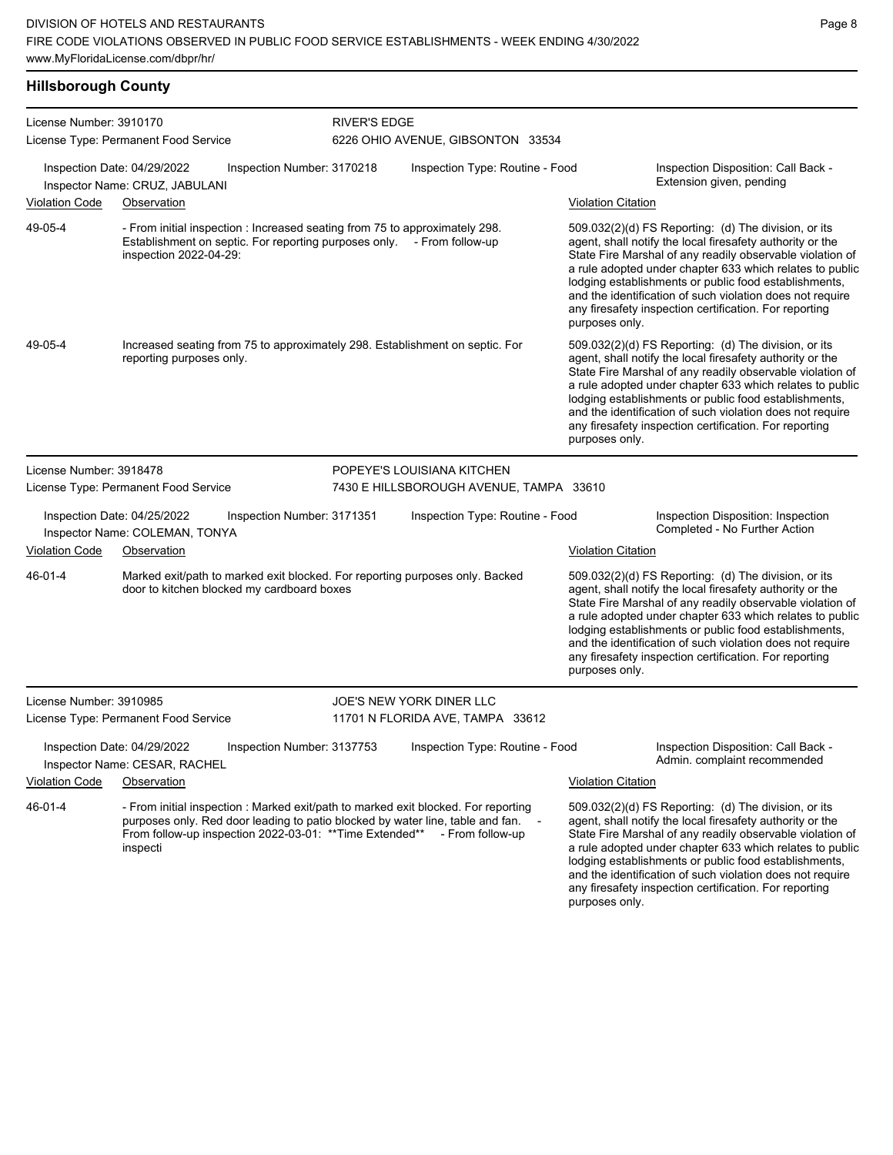## **Hillsborough County**

| License Number: 3910170 |                                                                                                                                                                                 |                            | <b>RIVER'S EDGE</b> |                                                                                                                                                                                                                                                     |                           |                                                                                                                                                                                                                                                                                                                                                                                                                            |  |
|-------------------------|---------------------------------------------------------------------------------------------------------------------------------------------------------------------------------|----------------------------|---------------------|-----------------------------------------------------------------------------------------------------------------------------------------------------------------------------------------------------------------------------------------------------|---------------------------|----------------------------------------------------------------------------------------------------------------------------------------------------------------------------------------------------------------------------------------------------------------------------------------------------------------------------------------------------------------------------------------------------------------------------|--|
|                         | License Type: Permanent Food Service                                                                                                                                            |                            |                     | 6226 OHIO AVENUE, GIBSONTON 33534                                                                                                                                                                                                                   |                           |                                                                                                                                                                                                                                                                                                                                                                                                                            |  |
|                         | Inspection Date: 04/29/2022<br>Inspector Name: CRUZ, JABULANI                                                                                                                   | Inspection Number: 3170218 |                     | Inspection Type: Routine - Food                                                                                                                                                                                                                     |                           | Inspection Disposition: Call Back -<br>Extension given, pending                                                                                                                                                                                                                                                                                                                                                            |  |
| <b>Violation Code</b>   | Observation                                                                                                                                                                     |                            |                     |                                                                                                                                                                                                                                                     | <b>Violation Citation</b> |                                                                                                                                                                                                                                                                                                                                                                                                                            |  |
| 49-05-4                 | - From initial inspection : Increased seating from 75 to approximately 298.<br>Establishment on septic. For reporting purposes only. - From follow-up<br>inspection 2022-04-29: |                            |                     |                                                                                                                                                                                                                                                     | purposes only.            | 509.032(2)(d) FS Reporting: (d) The division, or its<br>agent, shall notify the local firesafety authority or the<br>State Fire Marshal of any readily observable violation of<br>a rule adopted under chapter 633 which relates to public<br>lodging establishments or public food establishments,<br>and the identification of such violation does not require<br>any firesafety inspection certification. For reporting |  |
| 49-05-4                 | reporting purposes only.                                                                                                                                                        |                            |                     | Increased seating from 75 to approximately 298. Establishment on septic. For                                                                                                                                                                        | purposes only.            | 509.032(2)(d) FS Reporting: (d) The division, or its<br>agent, shall notify the local firesafety authority or the<br>State Fire Marshal of any readily observable violation of<br>a rule adopted under chapter 633 which relates to public<br>lodging establishments or public food establishments,<br>and the identification of such violation does not require<br>any firesafety inspection certification. For reporting |  |
| License Number: 3918478 |                                                                                                                                                                                 |                            |                     | POPEYE'S LOUISIANA KITCHEN                                                                                                                                                                                                                          |                           |                                                                                                                                                                                                                                                                                                                                                                                                                            |  |
|                         | License Type: Permanent Food Service                                                                                                                                            |                            |                     | 7430 E HILLSBOROUGH AVENUE, TAMPA 33610                                                                                                                                                                                                             |                           |                                                                                                                                                                                                                                                                                                                                                                                                                            |  |
|                         | Inspection Date: 04/25/2022<br>Inspector Name: COLEMAN, TONYA                                                                                                                   | Inspection Number: 3171351 |                     | Inspection Type: Routine - Food                                                                                                                                                                                                                     |                           | Inspection Disposition: Inspection<br>Completed - No Further Action                                                                                                                                                                                                                                                                                                                                                        |  |
| <b>Violation Code</b>   | Observation                                                                                                                                                                     |                            |                     |                                                                                                                                                                                                                                                     | <b>Violation Citation</b> |                                                                                                                                                                                                                                                                                                                                                                                                                            |  |
| 46-01-4                 | door to kitchen blocked my cardboard boxes                                                                                                                                      |                            |                     | Marked exit/path to marked exit blocked. For reporting purposes only. Backed                                                                                                                                                                        | purposes only.            | 509.032(2)(d) FS Reporting: (d) The division, or its<br>agent, shall notify the local firesafety authority or the<br>State Fire Marshal of any readily observable violation of<br>a rule adopted under chapter 633 which relates to public<br>lodging establishments or public food establishments,<br>and the identification of such violation does not require<br>any firesafety inspection certification. For reporting |  |
| License Number: 3910985 |                                                                                                                                                                                 |                            |                     | JOE'S NEW YORK DINER LLC                                                                                                                                                                                                                            |                           |                                                                                                                                                                                                                                                                                                                                                                                                                            |  |
|                         | License Type: Permanent Food Service                                                                                                                                            |                            |                     | 11701 N FLORIDA AVE, TAMPA 33612                                                                                                                                                                                                                    |                           |                                                                                                                                                                                                                                                                                                                                                                                                                            |  |
|                         | Inspection Date: 04/29/2022<br>Inspector Name: CESAR, RACHEL                                                                                                                    | Inspection Number: 3137753 |                     | Inspection Type: Routine - Food                                                                                                                                                                                                                     |                           | Inspection Disposition: Call Back -<br>Admin. complaint recommended                                                                                                                                                                                                                                                                                                                                                        |  |
| Violation Code          | Observation                                                                                                                                                                     |                            |                     |                                                                                                                                                                                                                                                     | <b>Violation Citation</b> |                                                                                                                                                                                                                                                                                                                                                                                                                            |  |
| 46-01-4                 | inspecti                                                                                                                                                                        |                            |                     | - From initial inspection : Marked exit/path to marked exit blocked. For reporting<br>purposes only. Red door leading to patio blocked by water line, table and fan. -<br>From follow-up inspection 2022-03-01: ** Time Extended** - From follow-up | purposes only.            | 509.032(2)(d) FS Reporting: (d) The division, or its<br>agent, shall notify the local firesafety authority or the<br>State Fire Marshal of any readily observable violation of<br>a rule adopted under chapter 633 which relates to public<br>lodging establishments or public food establishments,<br>and the identification of such violation does not require<br>any firesafety inspection certification. For reporting |  |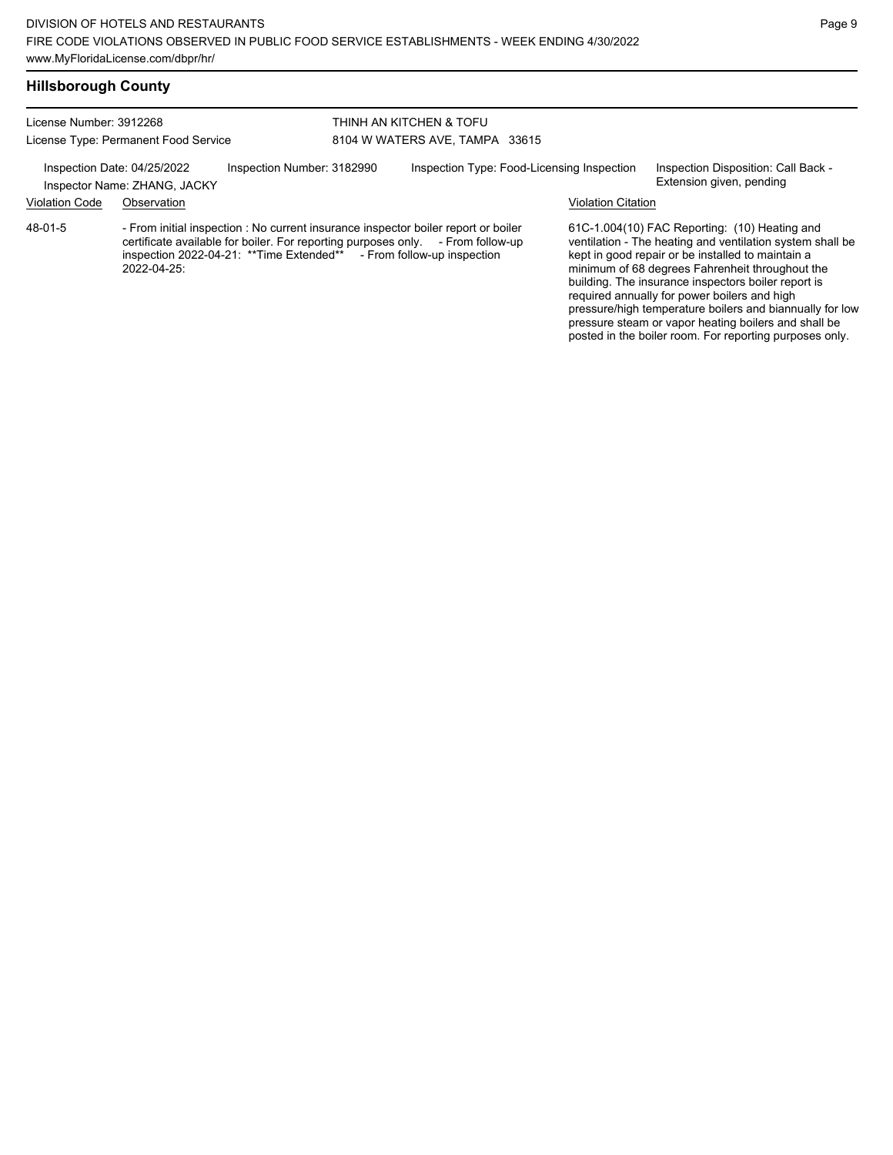### **Hillsborough County**

License Number: 3912268 License Type: Permanent Food Service

THINH AN KITCHEN & TOFU 8104 W WATERS AVE, TAMPA 33615

Inspection Date: 04/25/2022 Inspection Number: 3182990 Inspection Type: Food-Licensing Inspection Inspection Disposition: Call Back -

Inspector Name: ZHANG, JACKY **Inspector Name: ZHANG**, JACKY

Violation Code Observation Violation Citation

- From initial inspection : No current insurance inspector boiler report or boiler certificate available for boiler. For reporting purposes only. - From follow-up inspection 2022-04-21: \*\*Time Extended\*\* - From follow-up inspection inspection 2022-04-21: \*\* Time Extended\*\* 2022-04-25: 48-01-5

61C-1.004(10) FAC Reporting: (10) Heating and ventilation - The heating and ventilation system shall be kept in good repair or be installed to maintain a minimum of 68 degrees Fahrenheit throughout the building. The insurance inspectors boiler report is required annually for power boilers and high pressure/high temperature boilers and biannually for low pressure steam or vapor heating boilers and shall be posted in the boiler room. For reporting purposes only.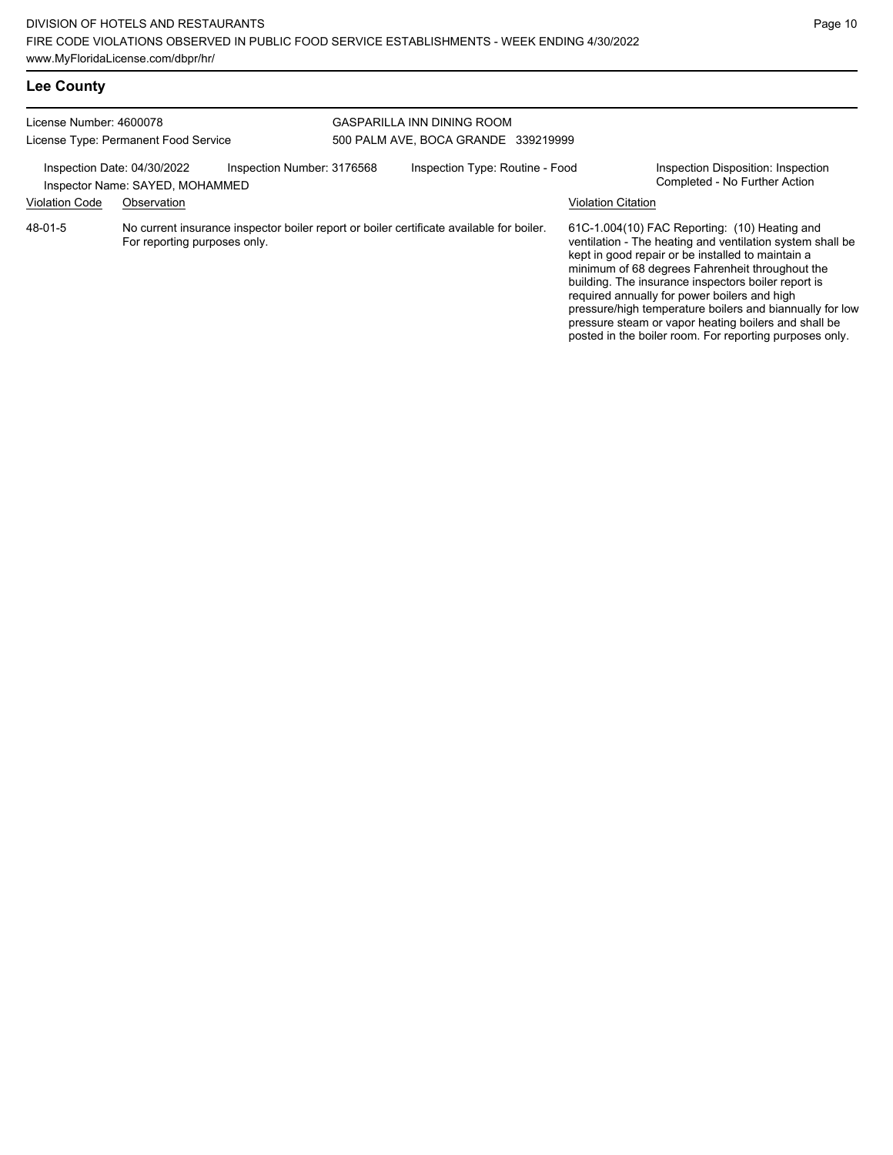posted in the boiler room. For reporting purposes only.

| <b>Lee County</b>       |                                                                |                            |                                                                                          |                           |                                                                                                                                                                                                                                                                                                                                                                                                                                               |
|-------------------------|----------------------------------------------------------------|----------------------------|------------------------------------------------------------------------------------------|---------------------------|-----------------------------------------------------------------------------------------------------------------------------------------------------------------------------------------------------------------------------------------------------------------------------------------------------------------------------------------------------------------------------------------------------------------------------------------------|
| License Number: 4600078 | License Type: Permanent Food Service                           |                            | GASPARILLA INN DINING ROOM<br>500 PALM AVE, BOCA GRANDE 339219999                        |                           |                                                                                                                                                                                                                                                                                                                                                                                                                                               |
|                         | Inspection Date: 04/30/2022<br>Inspector Name: SAYED, MOHAMMED | Inspection Number: 3176568 | Inspection Type: Routine - Food                                                          |                           | Inspection Disposition: Inspection<br>Completed - No Further Action                                                                                                                                                                                                                                                                                                                                                                           |
| <b>Violation Code</b>   | Observation                                                    |                            |                                                                                          | <b>Violation Citation</b> |                                                                                                                                                                                                                                                                                                                                                                                                                                               |
| 48-01-5                 | For reporting purposes only.                                   |                            | No current insurance inspector boiler report or boiler certificate available for boiler. |                           | 61C-1.004(10) FAC Reporting: (10) Heating and<br>ventilation - The heating and ventilation system shall be<br>kept in good repair or be installed to maintain a<br>minimum of 68 degrees Fahrenheit throughout the<br>building. The insurance inspectors boiler report is<br>required annually for power boilers and high<br>pressure/high temperature boilers and biannually for low<br>pressure steam or vapor heating boilers and shall be |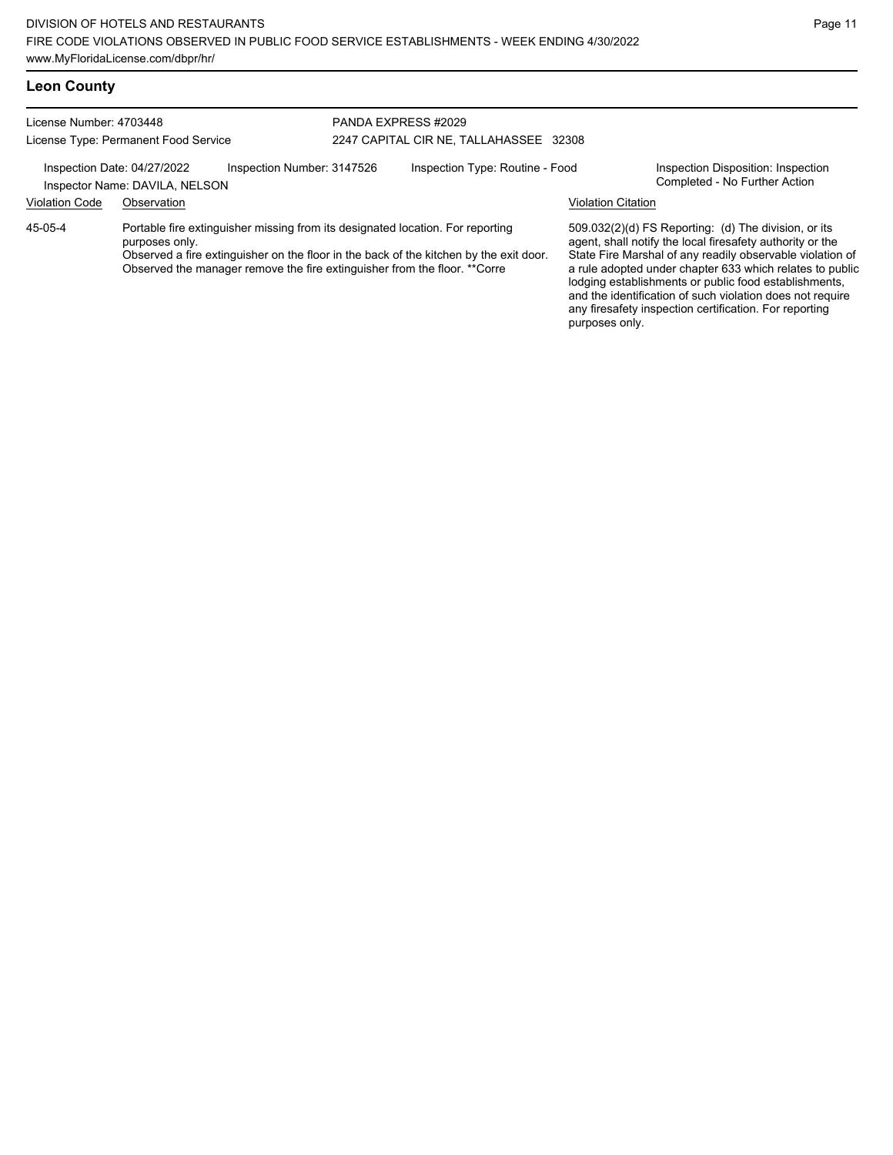## **Leon County**

| License Number: 4703448 | License Type: Permanent Food Service                                                        |                            | PANDA EXPRESS #2029 | 2247 CAPITAL CIR NE, TALLAHASSEE 32308                                                                                                                                   |                           |                                                                                                                                                                                                                                                                                                                                                                  |
|-------------------------|---------------------------------------------------------------------------------------------|----------------------------|---------------------|--------------------------------------------------------------------------------------------------------------------------------------------------------------------------|---------------------------|------------------------------------------------------------------------------------------------------------------------------------------------------------------------------------------------------------------------------------------------------------------------------------------------------------------------------------------------------------------|
|                         |                                                                                             |                            |                     |                                                                                                                                                                          |                           |                                                                                                                                                                                                                                                                                                                                                                  |
|                         | Inspection Date: 04/27/2022<br>Inspector Name: DAVILA, NELSON                               | Inspection Number: 3147526 |                     | Inspection Type: Routine - Food                                                                                                                                          |                           | Inspection Disposition: Inspection<br>Completed - No Further Action                                                                                                                                                                                                                                                                                              |
| <b>Violation Code</b>   | Observation                                                                                 |                            |                     |                                                                                                                                                                          | <b>Violation Citation</b> |                                                                                                                                                                                                                                                                                                                                                                  |
| 45-05-4                 | purposes only.<br>Observed the manager remove the fire extinguisher from the floor. **Corre |                            |                     | Portable fire extinguisher missing from its designated location. For reporting<br>Observed a fire extinguisher on the floor in the back of the kitchen by the exit door. |                           | 509.032(2)(d) FS Reporting: (d) The division, or its<br>agent, shall notify the local firesafety authority or the<br>State Fire Marshal of any readily observable violation of<br>a rule adopted under chapter 633 which relates to public<br>lodging establishments or public food establishments,<br>and the identification of such violation does not require |

any firesafety inspection certification. For reporting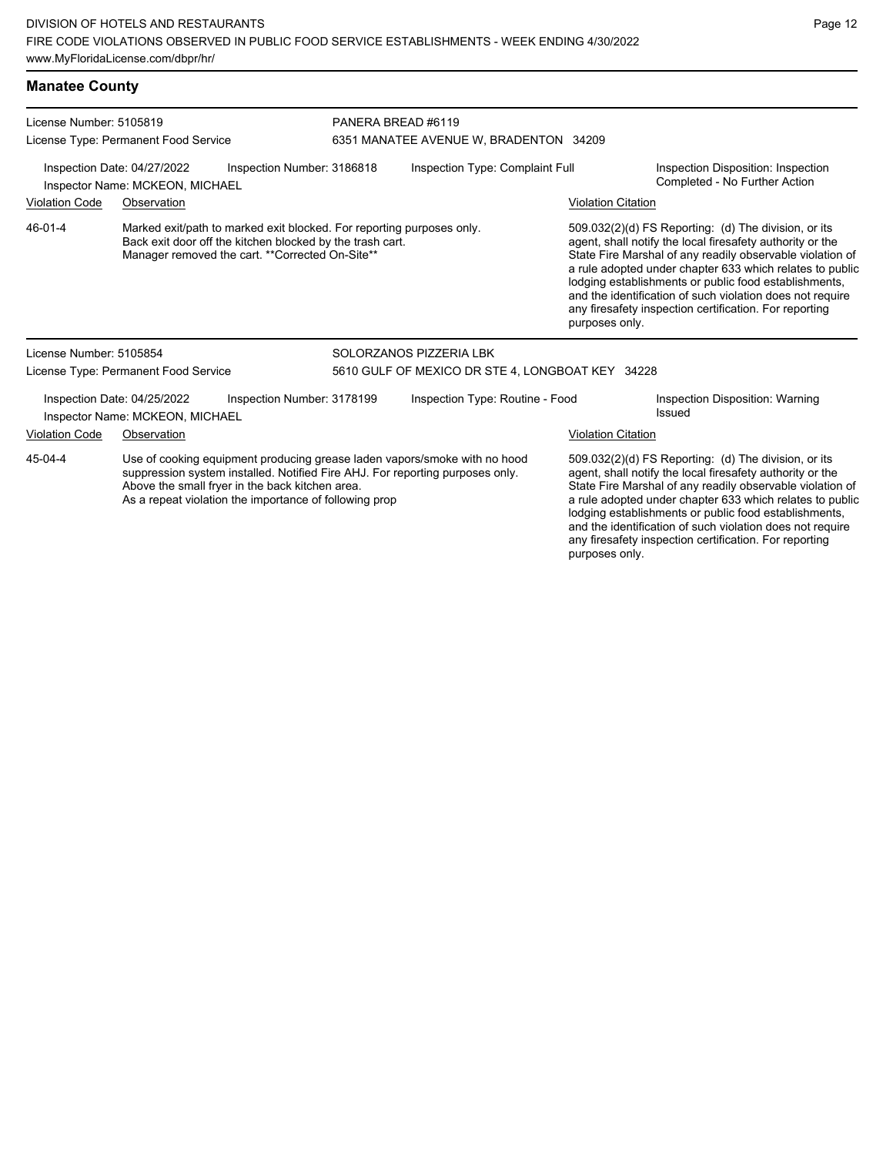| <b>Manatee County</b>                                                                        |                                                                                                                                                                                                                                                                         |                    |                                                  |                           |                                                                                                                                                                                                                                                                                                                                                                                                                            |
|----------------------------------------------------------------------------------------------|-------------------------------------------------------------------------------------------------------------------------------------------------------------------------------------------------------------------------------------------------------------------------|--------------------|--------------------------------------------------|---------------------------|----------------------------------------------------------------------------------------------------------------------------------------------------------------------------------------------------------------------------------------------------------------------------------------------------------------------------------------------------------------------------------------------------------------------------|
| License Number: 5105819                                                                      | License Type: Permanent Food Service                                                                                                                                                                                                                                    | PANERA BREAD #6119 | 6351 MANATEE AVENUE W, BRADENTON 34209           |                           |                                                                                                                                                                                                                                                                                                                                                                                                                            |
| Inspection Date: 04/27/2022<br>Inspection Number: 3186818<br>Inspector Name: MCKEON, MICHAEL |                                                                                                                                                                                                                                                                         |                    | Inspection Type: Complaint Full                  |                           | Inspection Disposition: Inspection<br>Completed - No Further Action                                                                                                                                                                                                                                                                                                                                                        |
| <b>Violation Code</b>                                                                        | Observation                                                                                                                                                                                                                                                             |                    |                                                  | <b>Violation Citation</b> |                                                                                                                                                                                                                                                                                                                                                                                                                            |
| 46-01-4                                                                                      | Marked exit/path to marked exit blocked. For reporting purposes only.<br>Back exit door off the kitchen blocked by the trash cart.<br>Manager removed the cart. ** Corrected On-Site**                                                                                  |                    |                                                  | purposes only.            | 509.032(2)(d) FS Reporting: (d) The division, or its<br>agent, shall notify the local firesafety authority or the<br>State Fire Marshal of any readily observable violation of<br>a rule adopted under chapter 633 which relates to public<br>lodging establishments or public food establishments,<br>and the identification of such violation does not require<br>any firesafety inspection certification. For reporting |
| License Number: 5105854                                                                      |                                                                                                                                                                                                                                                                         |                    | SOLORZANOS PIZZERIA LBK                          |                           |                                                                                                                                                                                                                                                                                                                                                                                                                            |
|                                                                                              | License Type: Permanent Food Service                                                                                                                                                                                                                                    |                    | 5610 GULF OF MEXICO DR STE 4, LONGBOAT KEY 34228 |                           |                                                                                                                                                                                                                                                                                                                                                                                                                            |
|                                                                                              | Inspection Number: 3178199<br>Inspection Date: 04/25/2022<br>Inspector Name: MCKEON, MICHAEL                                                                                                                                                                            |                    | Inspection Type: Routine - Food                  |                           | Inspection Disposition: Warning<br>Issued                                                                                                                                                                                                                                                                                                                                                                                  |
| <b>Violation Code</b><br>Observation                                                         |                                                                                                                                                                                                                                                                         |                    | <b>Violation Citation</b>                        |                           |                                                                                                                                                                                                                                                                                                                                                                                                                            |
| 45-04-4                                                                                      | Use of cooking equipment producing grease laden vapors/smoke with no hood<br>suppression system installed. Notified Fire AHJ. For reporting purposes only.<br>Above the small fryer in the back kitchen area.<br>As a repeat violation the importance of following prop |                    |                                                  |                           | 509.032(2)(d) FS Reporting: (d) The division, or its<br>agent, shall notify the local firesafety authority or the<br>State Fire Marshal of any readily observable violation of<br>a rule adopted under chapter 633 which relates to public<br>lodging establishments or public food establishments,                                                                                                                        |

and the identification of such violation does not require any firesafety inspection certification. For reporting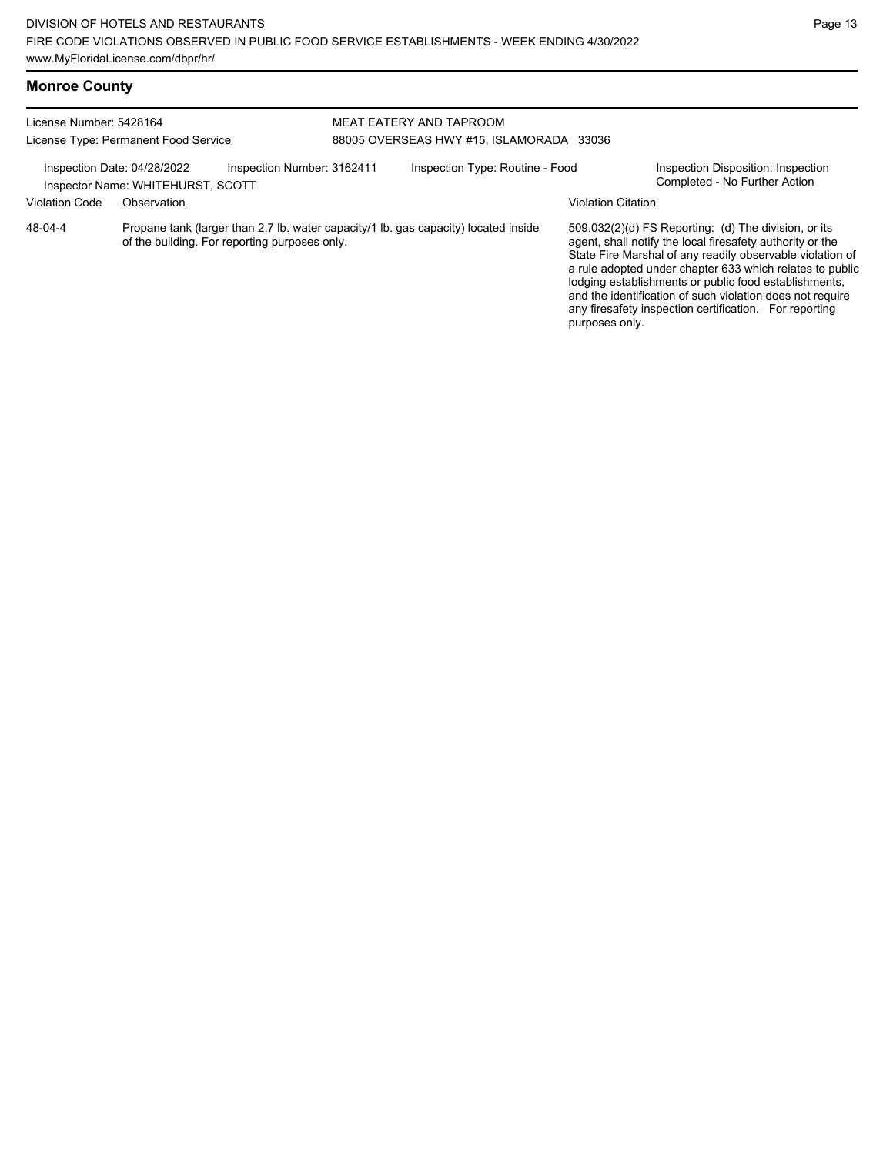# **Monroe County**

| License Number: 5428164     | License Type: Permanent Food Service                            | MEAT EATERY AND TAPROOM<br>88005 OVERSEAS HWY #15. ISLAMORADA 33036                 |                                                                                                                                                                                                                                                                                                                                                                                                                                              |  |  |
|-----------------------------|-----------------------------------------------------------------|-------------------------------------------------------------------------------------|----------------------------------------------------------------------------------------------------------------------------------------------------------------------------------------------------------------------------------------------------------------------------------------------------------------------------------------------------------------------------------------------------------------------------------------------|--|--|
| Inspection Date: 04/28/2022 | Inspection Number: 3162411<br>Inspector Name: WHITEHURST, SCOTT | Inspection Type: Routine - Food                                                     | Inspection Disposition: Inspection<br>Completed - No Further Action                                                                                                                                                                                                                                                                                                                                                                          |  |  |
| <b>Violation Code</b>       | Observation                                                     |                                                                                     | <b>Violation Citation</b>                                                                                                                                                                                                                                                                                                                                                                                                                    |  |  |
| 48-04-4                     | of the building. For reporting purposes only.                   | Propane tank (larger than 2.7 lb. water capacity/1 lb. gas capacity) located inside | 509.032(2)(d) FS Reporting: (d) The division, or its<br>agent, shall notify the local firesafety authority or the<br>State Fire Marshal of any readily observable violation of<br>a rule adopted under chapter 633 which relates to public<br>lodging establishments or public food establishments,<br>and the identification of such violation does not require<br>any firesafety inspection certification. For reporting<br>purposes only. |  |  |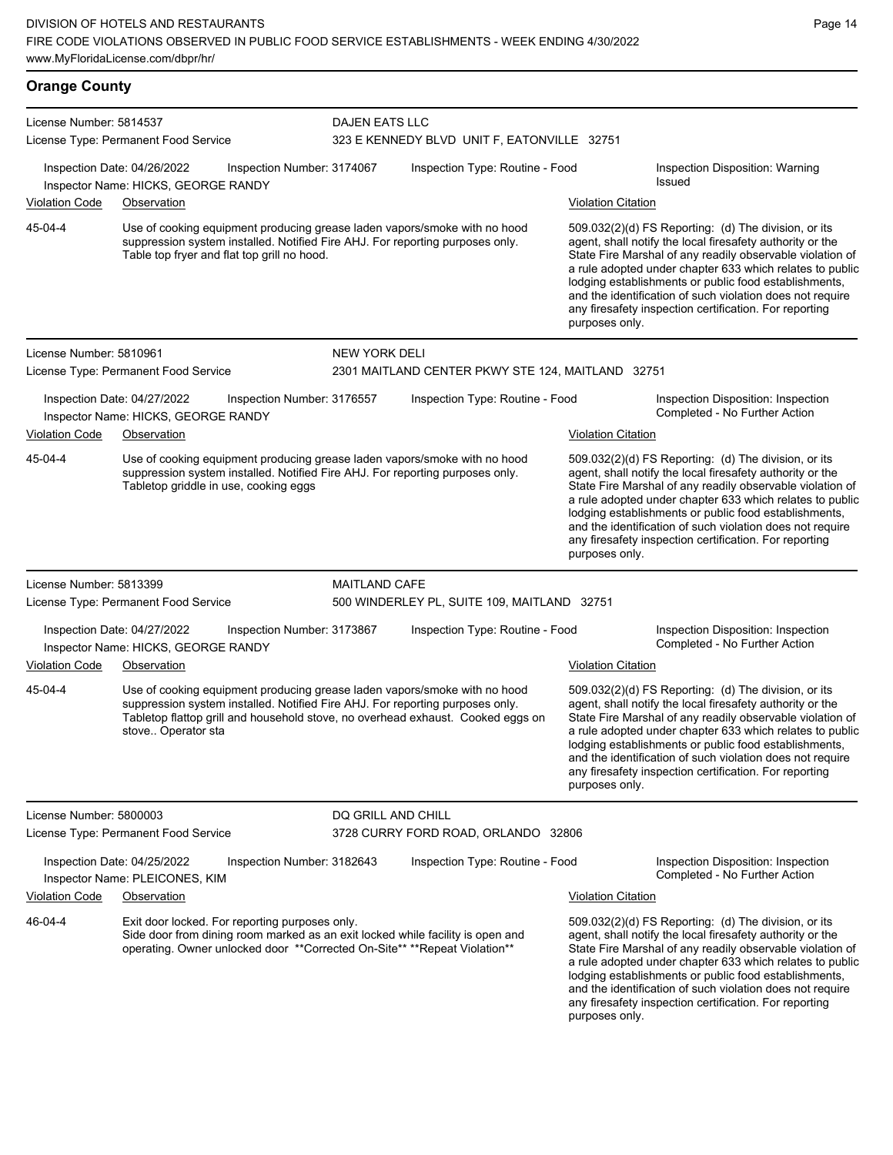**Orange County** License Number: 5814537 License Type: Permanent Food Service DAJEN EATS LLC 323 E KENNEDY BLVD UNIT F, EATONVILLE 32751 Inspection Date: 04/26/2022 Inspection Number: 3174067 Inspection Type: Routine - Food Inspection Disposition: Warning Issued Inspector Name: HICKS, GEORGE RANDY Violation Code Observation Violation Citation Use of cooking equipment producing grease laden vapors/smoke with no hood suppression system installed. Notified Fire AHJ. For reporting purposes only. Table top fryer and flat top grill no hood. 509.032(2)(d) FS Reporting: (d) The division, or its agent, shall notify the local firesafety authority or the State Fire Marshal of any readily observable violation of a rule adopted under chapter 633 which relates to public lodging establishments or public food establishments, and the identification of such violation does not require any firesafety inspection certification. For reporting purposes only. 45-04-4 License Number: 5810961 License Type: Permanent Food Service NEW YORK DELI 2301 MAITLAND CENTER PKWY STE 124, MAITLAND 32751 Inspection Date: 04/27/2022 Inspection Number: 3176557 Inspection Type: Routine - Food Inspection Disposition: Inspection Inspector Name: HICKS, GEORGE RANDY **And Action** Inspector Name: HICKS, GEORGE RANDY Violation Code Observation **Violation Citation** Violation Citation Citation Use of cooking equipment producing grease laden vapors/smoke with no hood suppression system installed. Notified Fire AHJ. For reporting purposes only. Tabletop griddle in use, cooking eggs 509.032(2)(d) FS Reporting: (d) The division, or its agent, shall notify the local firesafety authority or the State Fire Marshal of any readily observable violation of a rule adopted under chapter 633 which relates to public lodging establishments or public food establishments, and the identification of such violation does not require any firesafety inspection certification. For reporting purposes only. 45-04-4 License Number: 5813399 License Type: Permanent Food Service MAITI AND CAFE 500 WINDERLEY PL, SUITE 109, MAITLAND 32751 Inspection Date: 04/27/2022 Inspection Number: 3173867 Inspection Type: Routine - Food Inspection Disposition: Inspection<br>Inspector Name: HICKS, GEORGE RANDY Inspector Name: HICKS, GEORGE RANDY Violation Code Observation Violation Citation Use of cooking equipment producing grease laden vapors/smoke with no hood suppression system installed. Notified Fire AHJ. For reporting purposes only. Tabletop flattop grill and household stove, no overhead exhaust. Cooked eggs on stove.. Operator sta 509.032(2)(d) FS Reporting: (d) The division, or its agent, shall notify the local firesafety authority or the State Fire Marshal of any readily observable violation of a rule adopted under chapter 633 which relates to public lodging establishments or public food establishments, and the identification of such violation does not require any firesafety inspection certification. For reporting purposes only. 45-04-4 License Number: 5800003 License Type: Permanent Food Service DQ GRILL AND CHILL 3728 CURRY FORD ROAD, ORLANDO 32806 Inspection Date: 04/25/2022 Inspection Number: 3182643 Inspection Type: Routine - Food Inspection Disposition: Inspection<br>Inspector Name: PLEICONES KIM Inspector Name: PLEICONES, KIM Violation Code Observation Violation Citation Exit door locked. For reporting purposes only. Side door from dining room marked as an exit locked while facility is open and operating. Owner unlocked door \*\*Corrected On-Site\*\* \*\*Repeat Violation\*\* 509.032(2)(d) FS Reporting: (d) The division, or its agent, shall notify the local firesafety authority or the State Fire Marshal of any readily observable violation of a rule adopted under chapter 633 which relates to public 46-04-4

lodging establishments or public food establishments, and the identification of such violation does not require any firesafety inspection certification. For reporting purposes only.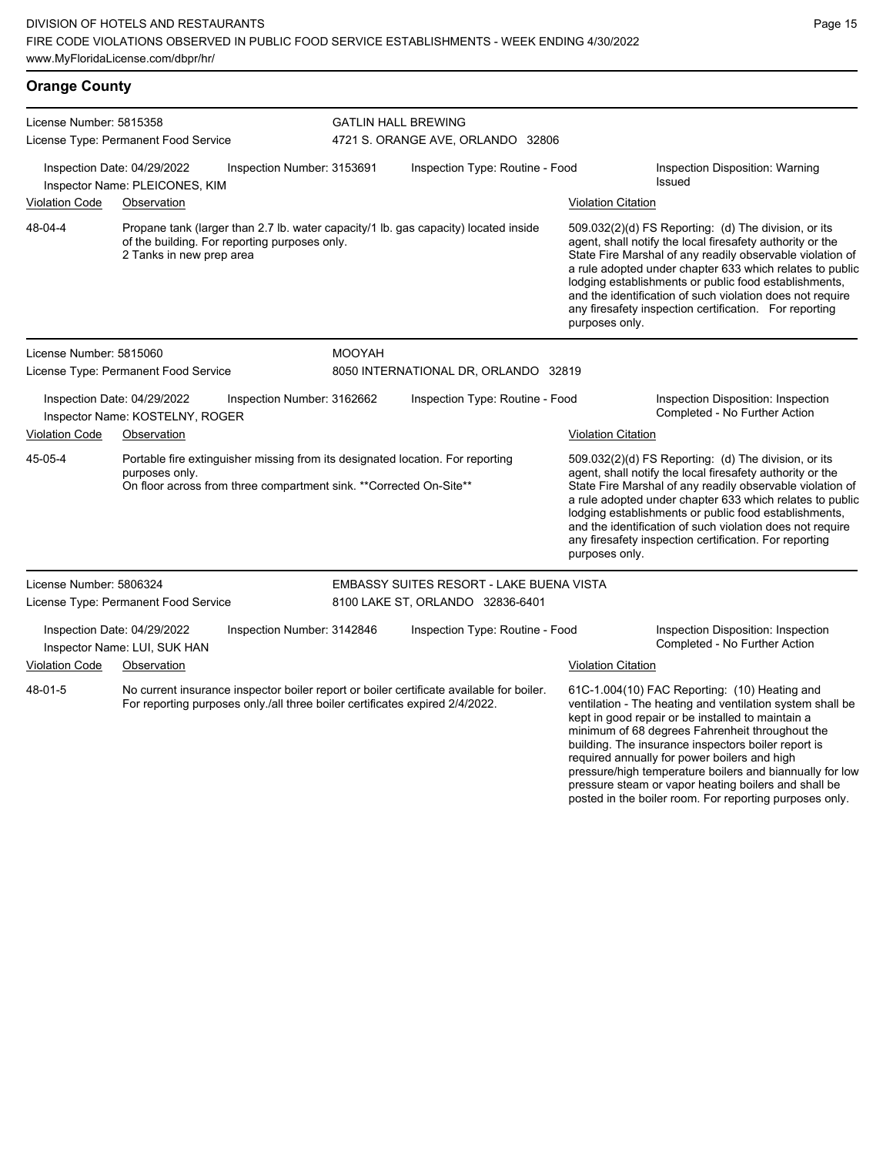| <b>Orange County</b>                                            |                                                                                                                                                                         |                            |                                                                                          |                                                                                                                                                                                                                                                                                                                                                                                                                                              |                                                                                                                                                                                                                    |  |  |
|-----------------------------------------------------------------|-------------------------------------------------------------------------------------------------------------------------------------------------------------------------|----------------------------|------------------------------------------------------------------------------------------|----------------------------------------------------------------------------------------------------------------------------------------------------------------------------------------------------------------------------------------------------------------------------------------------------------------------------------------------------------------------------------------------------------------------------------------------|--------------------------------------------------------------------------------------------------------------------------------------------------------------------------------------------------------------------|--|--|
| License Number: 5815358                                         |                                                                                                                                                                         |                            | <b>GATLIN HALL BREWING</b>                                                               |                                                                                                                                                                                                                                                                                                                                                                                                                                              |                                                                                                                                                                                                                    |  |  |
|                                                                 | License Type: Permanent Food Service                                                                                                                                    |                            | 4721 S. ORANGE AVE, ORLANDO 32806                                                        |                                                                                                                                                                                                                                                                                                                                                                                                                                              |                                                                                                                                                                                                                    |  |  |
|                                                                 | Inspection Date: 04/29/2022<br>Inspector Name: PLEICONES, KIM                                                                                                           | Inspection Number: 3153691 | Inspection Type: Routine - Food                                                          |                                                                                                                                                                                                                                                                                                                                                                                                                                              | Inspection Disposition: Warning<br><b>Issued</b>                                                                                                                                                                   |  |  |
| <b>Violation Code</b>                                           | Observation                                                                                                                                                             |                            |                                                                                          | <b>Violation Citation</b>                                                                                                                                                                                                                                                                                                                                                                                                                    |                                                                                                                                                                                                                    |  |  |
| 48-04-4                                                         | of the building. For reporting purposes only.<br>2 Tanks in new prep area                                                                                               |                            | Propane tank (larger than 2.7 lb. water capacity/1 lb. gas capacity) located inside      | 509.032(2)(d) FS Reporting: (d) The division, or its<br>agent, shall notify the local firesafety authority or the<br>State Fire Marshal of any readily observable violation of<br>a rule adopted under chapter 633 which relates to public<br>lodging establishments or public food establishments,<br>and the identification of such violation does not require<br>any firesafety inspection certification. For reporting<br>purposes only. |                                                                                                                                                                                                                    |  |  |
| License Number: 5815060                                         |                                                                                                                                                                         | <b>MOOYAH</b>              |                                                                                          |                                                                                                                                                                                                                                                                                                                                                                                                                                              |                                                                                                                                                                                                                    |  |  |
|                                                                 | License Type: Permanent Food Service                                                                                                                                    |                            | 8050 INTERNATIONAL DR, ORLANDO 32819                                                     |                                                                                                                                                                                                                                                                                                                                                                                                                                              |                                                                                                                                                                                                                    |  |  |
| Inspection Date: 04/29/2022<br>Inspector Name: KOSTELNY, ROGER  |                                                                                                                                                                         | Inspection Number: 3162662 | Inspection Type: Routine - Food                                                          |                                                                                                                                                                                                                                                                                                                                                                                                                                              | Inspection Disposition: Inspection<br>Completed - No Further Action                                                                                                                                                |  |  |
| <b>Violation Code</b><br>Observation                            |                                                                                                                                                                         |                            |                                                                                          | <b>Violation Citation</b>                                                                                                                                                                                                                                                                                                                                                                                                                    |                                                                                                                                                                                                                    |  |  |
| 45-05-4                                                         | Portable fire extinguisher missing from its designated location. For reporting<br>purposes only.<br>On floor across from three compartment sink. ** Corrected On-Site** |                            |                                                                                          | 509.032(2)(d) FS Reporting: (d) The division, or its<br>agent, shall notify the local firesafety authority or the<br>State Fire Marshal of any readily observable violation of<br>a rule adopted under chapter 633 which relates to public<br>lodging establishments or public food establishments,<br>and the identification of such violation does not require<br>any firesafety inspection certification. For reporting<br>purposes only. |                                                                                                                                                                                                                    |  |  |
| License Number: 5806324<br>License Type: Permanent Food Service |                                                                                                                                                                         |                            | EMBASSY SUITES RESORT - LAKE BUENA VISTA<br>8100 LAKE ST, ORLANDO 32836-6401             |                                                                                                                                                                                                                                                                                                                                                                                                                                              |                                                                                                                                                                                                                    |  |  |
| Inspection Date: 04/29/2022<br>Inspector Name: LUI, SUK HAN     |                                                                                                                                                                         | Inspection Number: 3142846 | Inspection Type: Routine - Food                                                          |                                                                                                                                                                                                                                                                                                                                                                                                                                              | Inspection Disposition: Inspection<br>Completed - No Further Action                                                                                                                                                |  |  |
| <b>Violation Code</b>                                           | Observation                                                                                                                                                             |                            |                                                                                          | <b>Violation Citation</b>                                                                                                                                                                                                                                                                                                                                                                                                                    |                                                                                                                                                                                                                    |  |  |
| 48-01-5                                                         | For reporting purposes only /all three boiler certificates expired 2/4/2022.                                                                                            |                            | No current insurance inspector boiler report or boiler certificate available for boiler. |                                                                                                                                                                                                                                                                                                                                                                                                                                              | 61C-1.004(10) FAC Reporting: (10) Heating and<br>ventilation - The heating and ventilation system shall be<br>kept in good repair or be installed to maintain a<br>minimum of 68 degrees Fahrenheit throughout the |  |  |

building. The insurance inspectors boiler report is required annually for power boilers and high

pressure/high temperature boilers and biannually for low pressure steam or vapor heating boilers and shall be posted in the boiler room. For reporting purposes only.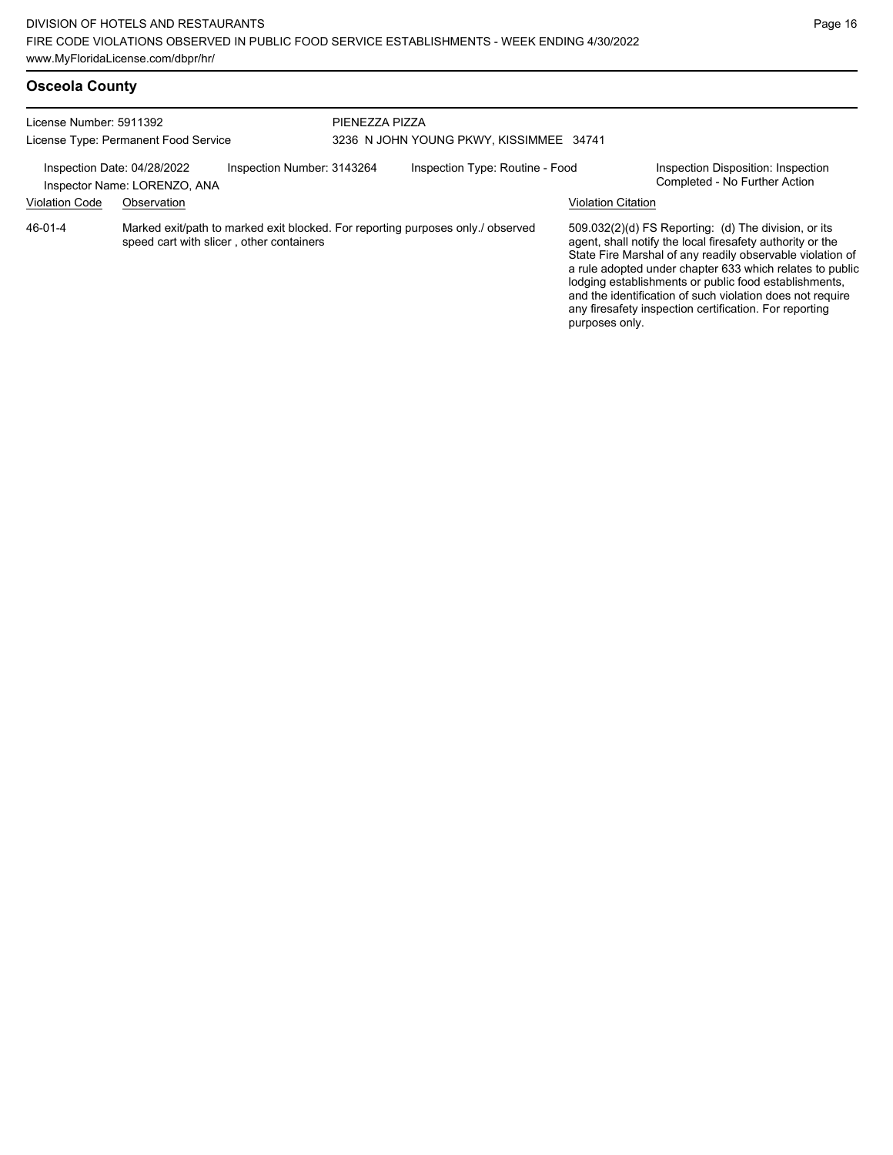| License Number: 5911392<br>License Type: Permanent Food Service                           |             |                                          | PIENEZZA PIZZA | 3236 N JOHN YOUNG PKWY, KISSIMMEE 34741                                         |                                                                     |                                                                                                                                                                                                                                                                                                                                                                                                                            |
|-------------------------------------------------------------------------------------------|-------------|------------------------------------------|----------------|---------------------------------------------------------------------------------|---------------------------------------------------------------------|----------------------------------------------------------------------------------------------------------------------------------------------------------------------------------------------------------------------------------------------------------------------------------------------------------------------------------------------------------------------------------------------------------------------------|
| Inspection Number: 3143264<br>Inspection Date: 04/28/2022<br>Inspector Name: LORENZO, ANA |             |                                          |                | Inspection Type: Routine - Food                                                 | Inspection Disposition: Inspection<br>Completed - No Further Action |                                                                                                                                                                                                                                                                                                                                                                                                                            |
| <b>Violation Code</b>                                                                     | Observation |                                          |                |                                                                                 | <b>Violation Citation</b>                                           |                                                                                                                                                                                                                                                                                                                                                                                                                            |
| 46-01-4                                                                                   |             | speed cart with slicer, other containers |                | Marked exit/path to marked exit blocked. For reporting purposes only./ observed | purposes only.                                                      | 509.032(2)(d) FS Reporting: (d) The division, or its<br>agent, shall notify the local firesafety authority or the<br>State Fire Marshal of any readily observable violation of<br>a rule adopted under chapter 633 which relates to public<br>lodging establishments or public food establishments,<br>and the identification of such violation does not require<br>any firesafety inspection certification. For reporting |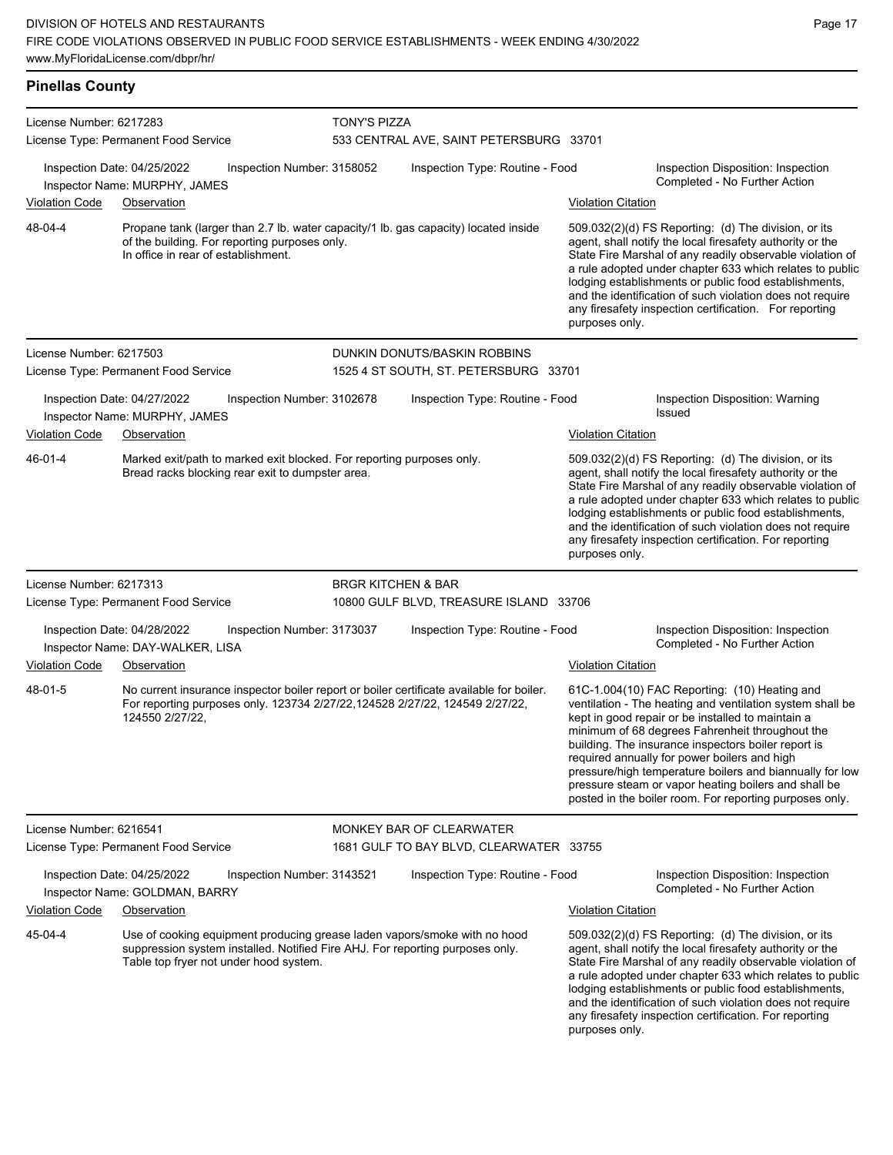## **Pinellas County**

| License Number: 6217283                                                                         | License Type: Permanent Food Service                                                                                                                                                                 |                            | <b>TONY'S PIZZA</b><br>533 CENTRAL AVE, SAINT PETERSBURG 33701                      |                           |                                                                                                                                                                                                                                                                                                                                                                                                                                                                                                          |  |  |  |
|-------------------------------------------------------------------------------------------------|------------------------------------------------------------------------------------------------------------------------------------------------------------------------------------------------------|----------------------------|-------------------------------------------------------------------------------------|---------------------------|----------------------------------------------------------------------------------------------------------------------------------------------------------------------------------------------------------------------------------------------------------------------------------------------------------------------------------------------------------------------------------------------------------------------------------------------------------------------------------------------------------|--|--|--|
|                                                                                                 | Inspection Date: 04/25/2022                                                                                                                                                                          | Inspection Number: 3158052 | Inspection Type: Routine - Food                                                     |                           | Inspection Disposition: Inspection<br>Completed - No Further Action                                                                                                                                                                                                                                                                                                                                                                                                                                      |  |  |  |
| <b>Violation Code</b>                                                                           | Inspector Name: MURPHY, JAMES<br>Observation                                                                                                                                                         |                            |                                                                                     | <b>Violation Citation</b> |                                                                                                                                                                                                                                                                                                                                                                                                                                                                                                          |  |  |  |
| 48-04-4<br>of the building. For reporting purposes only.<br>In office in rear of establishment. |                                                                                                                                                                                                      |                            | Propane tank (larger than 2.7 lb. water capacity/1 lb. gas capacity) located inside |                           | 509.032(2)(d) FS Reporting: (d) The division, or its<br>agent, shall notify the local firesafety authority or the<br>State Fire Marshal of any readily observable violation of<br>a rule adopted under chapter 633 which relates to public<br>lodging establishments or public food establishments,<br>and the identification of such violation does not require<br>any firesafety inspection certification. For reporting<br>purposes only.                                                             |  |  |  |
| License Number: 6217503                                                                         |                                                                                                                                                                                                      |                            | DUNKIN DONUTS/BASKIN ROBBINS                                                        |                           |                                                                                                                                                                                                                                                                                                                                                                                                                                                                                                          |  |  |  |
|                                                                                                 | License Type: Permanent Food Service                                                                                                                                                                 |                            | 1525 4 ST SOUTH, ST. PETERSBURG 33701                                               |                           |                                                                                                                                                                                                                                                                                                                                                                                                                                                                                                          |  |  |  |
|                                                                                                 | Inspection Date: 04/27/2022<br>Inspector Name: MURPHY, JAMES                                                                                                                                         | Inspection Number: 3102678 | Inspection Type: Routine - Food                                                     |                           | Inspection Disposition: Warning<br><b>Issued</b>                                                                                                                                                                                                                                                                                                                                                                                                                                                         |  |  |  |
| <b>Violation Code</b>                                                                           | Observation                                                                                                                                                                                          |                            |                                                                                     | <b>Violation Citation</b> |                                                                                                                                                                                                                                                                                                                                                                                                                                                                                                          |  |  |  |
| 46-01-4                                                                                         | Marked exit/path to marked exit blocked. For reporting purposes only.<br>Bread racks blocking rear exit to dumpster area.                                                                            |                            |                                                                                     | purposes only.            | 509.032(2)(d) FS Reporting: (d) The division, or its<br>agent, shall notify the local firesafety authority or the<br>State Fire Marshal of any readily observable violation of<br>a rule adopted under chapter 633 which relates to public<br>lodging establishments or public food establishments,<br>and the identification of such violation does not require<br>any firesafety inspection certification. For reporting                                                                               |  |  |  |
| License Number: 6217313                                                                         |                                                                                                                                                                                                      |                            | <b>BRGR KITCHEN &amp; BAR</b>                                                       |                           |                                                                                                                                                                                                                                                                                                                                                                                                                                                                                                          |  |  |  |
|                                                                                                 | License Type: Permanent Food Service                                                                                                                                                                 |                            | 10800 GULF BLVD, TREASURE ISLAND 33706                                              |                           |                                                                                                                                                                                                                                                                                                                                                                                                                                                                                                          |  |  |  |
| Inspection Date: 04/28/2022<br>Inspection Number: 3173037<br>Inspector Name: DAY-WALKER, LISA   |                                                                                                                                                                                                      |                            | Inspection Type: Routine - Food                                                     |                           | Inspection Disposition: Inspection<br>Completed - No Further Action                                                                                                                                                                                                                                                                                                                                                                                                                                      |  |  |  |
| <b>Violation Code</b>                                                                           | Observation                                                                                                                                                                                          |                            |                                                                                     | <b>Violation Citation</b> |                                                                                                                                                                                                                                                                                                                                                                                                                                                                                                          |  |  |  |
| 48-01-5                                                                                         | No current insurance inspector boiler report or boiler certificate available for boiler.<br>For reporting purposes only. 123734 2/27/22,124528 2/27/22, 124549 2/27/22,<br>124550 2/27/22,           |                            |                                                                                     |                           | 61C-1.004(10) FAC Reporting: (10) Heating and<br>ventilation - The heating and ventilation system shall be<br>kept in good repair or be installed to maintain a<br>minimum of 68 degrees Fahrenheit throughout the<br>building. The insurance inspectors boiler report is<br>required annually for power boilers and high<br>pressure/high temperature boilers and biannually for low<br>pressure steam or vapor heating boilers and shall be<br>posted in the boiler room. For reporting purposes only. |  |  |  |
| License Number: 6216541                                                                         |                                                                                                                                                                                                      |                            | MONKEY BAR OF CLEARWATER                                                            |                           |                                                                                                                                                                                                                                                                                                                                                                                                                                                                                                          |  |  |  |
|                                                                                                 | License Type: Permanent Food Service                                                                                                                                                                 |                            | 1681 GULF TO BAY BLVD, CLEARWATER 33755                                             |                           |                                                                                                                                                                                                                                                                                                                                                                                                                                                                                                          |  |  |  |
|                                                                                                 | Inspection Date: 04/25/2022<br>Inspector Name: GOLDMAN, BARRY                                                                                                                                        | Inspection Number: 3143521 | Inspection Type: Routine - Food                                                     |                           | Inspection Disposition: Inspection<br>Completed - No Further Action                                                                                                                                                                                                                                                                                                                                                                                                                                      |  |  |  |
| Violation Code                                                                                  | Observation                                                                                                                                                                                          |                            |                                                                                     | <b>Violation Citation</b> |                                                                                                                                                                                                                                                                                                                                                                                                                                                                                                          |  |  |  |
| 45-04-4                                                                                         | Use of cooking equipment producing grease laden vapors/smoke with no hood<br>suppression system installed. Notified Fire AHJ. For reporting purposes only.<br>Table top fryer not under hood system. |                            |                                                                                     | purposes only.            | 509.032(2)(d) FS Reporting: (d) The division, or its<br>agent, shall notify the local firesafety authority or the<br>State Fire Marshal of any readily observable violation of<br>a rule adopted under chapter 633 which relates to public<br>lodging establishments or public food establishments,<br>and the identification of such violation does not require<br>any firesafety inspection certification. For reporting                                                                               |  |  |  |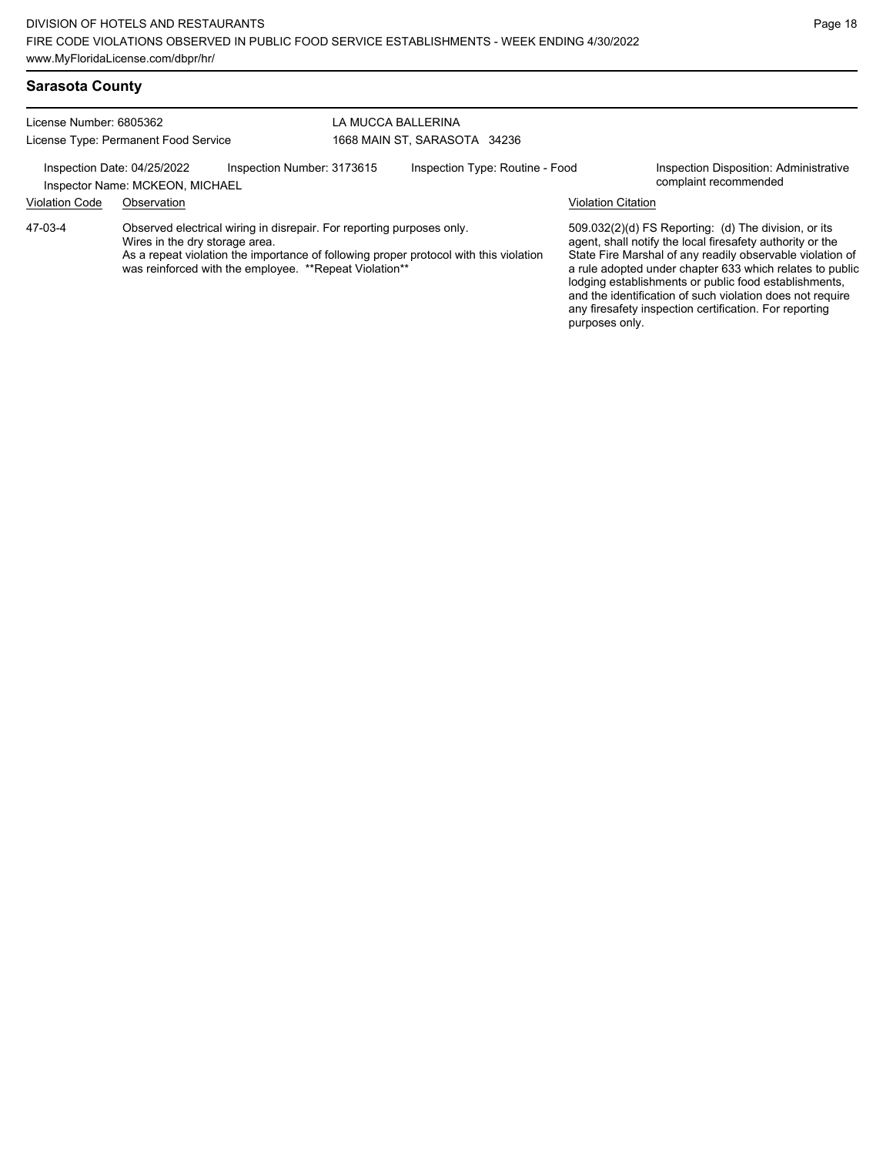| License Number: 6805362                                                                      |                                |                                                                                                                                  | LA MUCCA BALLERINA |                                                                                       |                           |                                                                                                                                                                                                                                                                                                                                                                                                                            |
|----------------------------------------------------------------------------------------------|--------------------------------|----------------------------------------------------------------------------------------------------------------------------------|--------------------|---------------------------------------------------------------------------------------|---------------------------|----------------------------------------------------------------------------------------------------------------------------------------------------------------------------------------------------------------------------------------------------------------------------------------------------------------------------------------------------------------------------------------------------------------------------|
| License Type: Permanent Food Service                                                         |                                | 1668 MAIN ST, SARASOTA 34236                                                                                                     |                    |                                                                                       |                           |                                                                                                                                                                                                                                                                                                                                                                                                                            |
| Inspection Number: 3173615<br>Inspection Date: 04/25/2022<br>Inspector Name: MCKEON, MICHAEL |                                | Inspection Type: Routine - Food                                                                                                  |                    | Inspection Disposition: Administrative<br>complaint recommended                       |                           |                                                                                                                                                                                                                                                                                                                                                                                                                            |
| <b>Violation Code</b>                                                                        | Observation                    |                                                                                                                                  |                    |                                                                                       | <b>Violation Citation</b> |                                                                                                                                                                                                                                                                                                                                                                                                                            |
| 47-03-4                                                                                      | Wires in the dry storage area. | Observed electrical wiring in disrepair. For reporting purposes only.<br>was reinforced with the employee. ** Repeat Violation** |                    | As a repeat violation the importance of following proper protocol with this violation |                           | 509.032(2)(d) FS Reporting: (d) The division, or its<br>agent, shall notify the local firesafety authority or the<br>State Fire Marshal of any readily observable violation of<br>a rule adopted under chapter 633 which relates to public<br>lodging establishments or public food establishments,<br>and the identification of such violation does not require<br>any firesafety inspection certification. For reporting |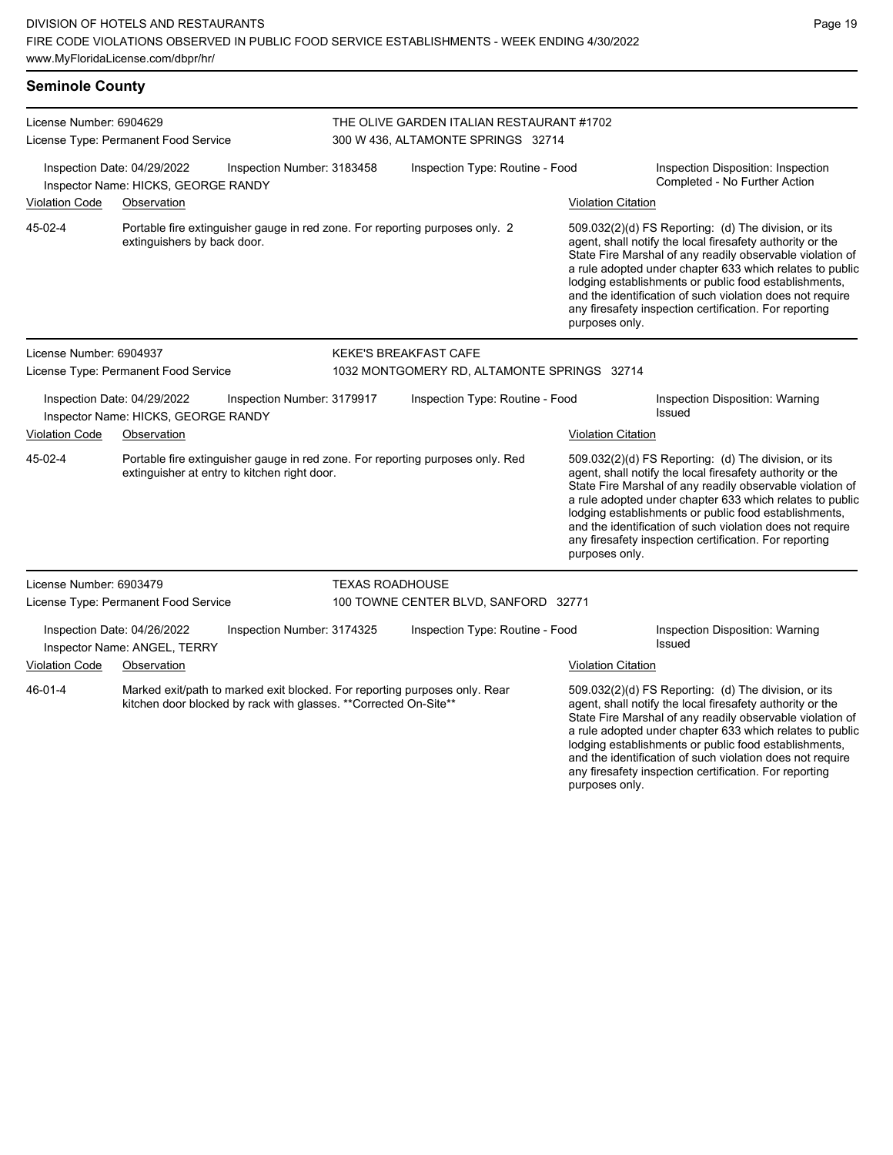**Seminole County**

| License Number: 6904629                                                                                                                                    |                                                                    |                                              |                                      |                                                                                 |                                                                                                                                                                                                                                            |                                                                                                                                                                                                                                                                                                                                                                                                                                              |  |  |  |
|------------------------------------------------------------------------------------------------------------------------------------------------------------|--------------------------------------------------------------------|----------------------------------------------|--------------------------------------|---------------------------------------------------------------------------------|--------------------------------------------------------------------------------------------------------------------------------------------------------------------------------------------------------------------------------------------|----------------------------------------------------------------------------------------------------------------------------------------------------------------------------------------------------------------------------------------------------------------------------------------------------------------------------------------------------------------------------------------------------------------------------------------------|--|--|--|
|                                                                                                                                                            | License Type: Permanent Food Service                               |                                              |                                      | THE OLIVE GARDEN ITALIAN RESTAURANT #1702<br>300 W 436, ALTAMONTE SPRINGS 32714 |                                                                                                                                                                                                                                            |                                                                                                                                                                                                                                                                                                                                                                                                                                              |  |  |  |
|                                                                                                                                                            | Inspection Date: 04/29/2022<br>Inspector Name: HICKS, GEORGE RANDY | Inspection Number: 3183458                   |                                      | Inspection Type: Routine - Food                                                 |                                                                                                                                                                                                                                            | Inspection Disposition: Inspection<br>Completed - No Further Action                                                                                                                                                                                                                                                                                                                                                                          |  |  |  |
| <b>Violation Code</b>                                                                                                                                      | Observation                                                        |                                              |                                      |                                                                                 | <b>Violation Citation</b>                                                                                                                                                                                                                  |                                                                                                                                                                                                                                                                                                                                                                                                                                              |  |  |  |
| 45-02-4                                                                                                                                                    | extinguishers by back door.                                        |                                              |                                      | Portable fire extinguisher gauge in red zone. For reporting purposes only. 2    |                                                                                                                                                                                                                                            | 509.032(2)(d) FS Reporting: (d) The division, or its<br>agent, shall notify the local firesafety authority or the<br>State Fire Marshal of any readily observable violation of<br>a rule adopted under chapter 633 which relates to public<br>lodging establishments or public food establishments,<br>and the identification of such violation does not require<br>any firesafety inspection certification. For reporting<br>purposes only. |  |  |  |
| License Number: 6904937                                                                                                                                    |                                                                    |                                              |                                      | <b>KEKE'S BREAKFAST CAFE</b>                                                    |                                                                                                                                                                                                                                            |                                                                                                                                                                                                                                                                                                                                                                                                                                              |  |  |  |
|                                                                                                                                                            | License Type: Permanent Food Service                               |                                              |                                      | 1032 MONTGOMERY RD, ALTAMONTE SPRINGS 32714                                     |                                                                                                                                                                                                                                            |                                                                                                                                                                                                                                                                                                                                                                                                                                              |  |  |  |
|                                                                                                                                                            | Inspection Date: 04/29/2022<br>Inspector Name: HICKS, GEORGE RANDY | Inspection Number: 3179917                   |                                      | Inspection Type: Routine - Food                                                 |                                                                                                                                                                                                                                            | Inspection Disposition: Warning<br>Issued                                                                                                                                                                                                                                                                                                                                                                                                    |  |  |  |
| <b>Violation Code</b>                                                                                                                                      | Observation                                                        |                                              |                                      |                                                                                 | <b>Violation Citation</b>                                                                                                                                                                                                                  |                                                                                                                                                                                                                                                                                                                                                                                                                                              |  |  |  |
| 45-02-4                                                                                                                                                    |                                                                    | extinguisher at entry to kitchen right door. |                                      | Portable fire extinguisher gauge in red zone. For reporting purposes only. Red  | purposes only.                                                                                                                                                                                                                             | 509.032(2)(d) FS Reporting: (d) The division, or its<br>agent, shall notify the local firesafety authority or the<br>State Fire Marshal of any readily observable violation of<br>a rule adopted under chapter 633 which relates to public<br>lodging establishments or public food establishments,<br>and the identification of such violation does not require<br>any firesafety inspection certification. For reporting                   |  |  |  |
| License Number: 6903479                                                                                                                                    |                                                                    |                                              | <b>TEXAS ROADHOUSE</b>               |                                                                                 |                                                                                                                                                                                                                                            |                                                                                                                                                                                                                                                                                                                                                                                                                                              |  |  |  |
| License Type: Permanent Food Service                                                                                                                       |                                                                    |                                              | 100 TOWNE CENTER BLVD, SANFORD 32771 |                                                                                 |                                                                                                                                                                                                                                            |                                                                                                                                                                                                                                                                                                                                                                                                                                              |  |  |  |
|                                                                                                                                                            | Inspection Date: 04/26/2022<br>Inspector Name: ANGEL, TERRY        | Inspection Number: 3174325                   |                                      | Inspection Type: Routine - Food                                                 |                                                                                                                                                                                                                                            | Inspection Disposition: Warning<br><b>Issued</b>                                                                                                                                                                                                                                                                                                                                                                                             |  |  |  |
| <b>Violation Code</b>                                                                                                                                      | Observation                                                        |                                              |                                      |                                                                                 | <b>Violation Citation</b>                                                                                                                                                                                                                  |                                                                                                                                                                                                                                                                                                                                                                                                                                              |  |  |  |
| 46-01-4<br>Marked exit/path to marked exit blocked. For reporting purposes only. Rear<br>kitchen door blocked by rack with glasses. ** Corrected On-Site** |                                                                    |                                              |                                      |                                                                                 | 509.032(2)(d) FS Reporting: (d) The division, or its<br>agent, shall notify the local firesafety authority or the<br>State Fire Marshal of any readily observable violation of<br>a rule adopted under chapter 633 which relates to public |                                                                                                                                                                                                                                                                                                                                                                                                                                              |  |  |  |

lodging establishments or public food establishments, and the identification of such violation does not require any firesafety inspection certification. For reporting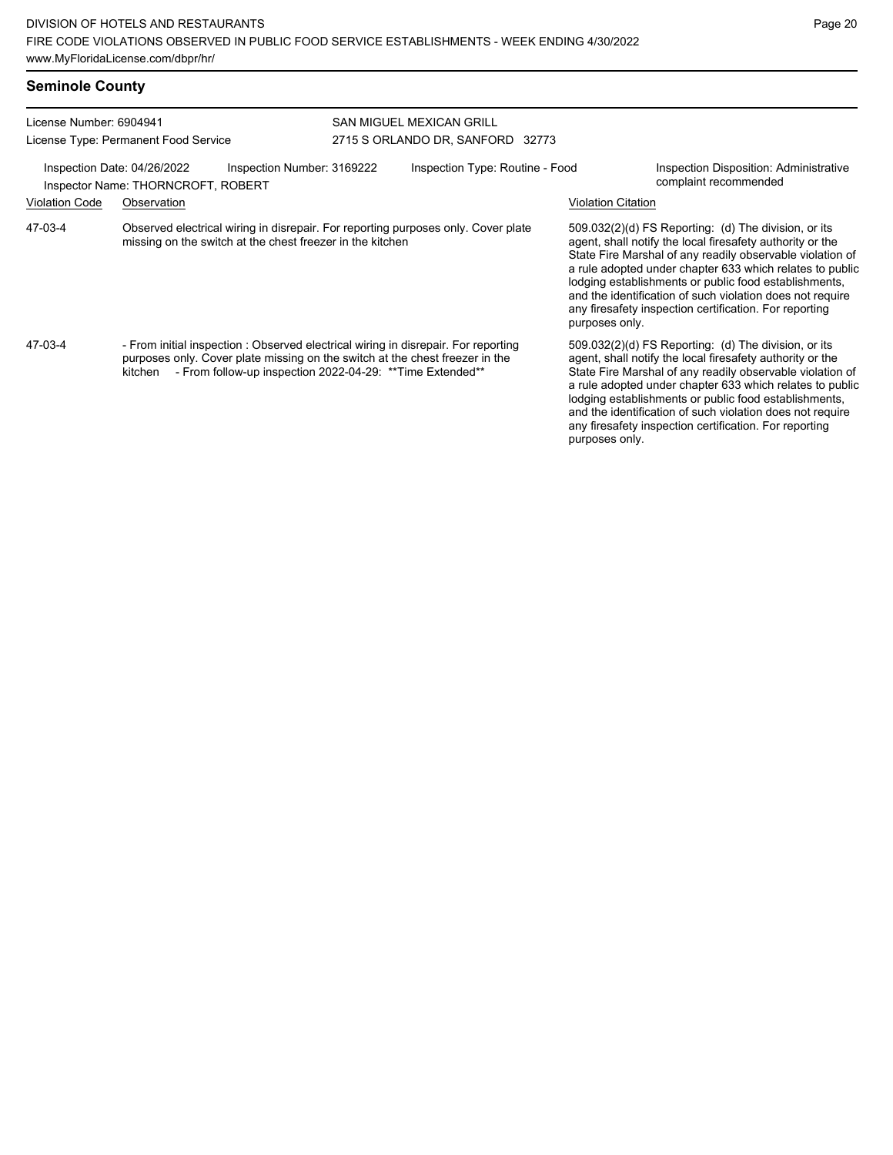| <b>Seminole County</b>                                          |                                                                                                                                                                                                                                             |  |                                                                                                    |                                                                                                                                                                                                                                                                                                                                                                                                                                              |                                                                                                                                                                                                                                                                                                                                                                                                                            |  |
|-----------------------------------------------------------------|---------------------------------------------------------------------------------------------------------------------------------------------------------------------------------------------------------------------------------------------|--|----------------------------------------------------------------------------------------------------|----------------------------------------------------------------------------------------------------------------------------------------------------------------------------------------------------------------------------------------------------------------------------------------------------------------------------------------------------------------------------------------------------------------------------------------------|----------------------------------------------------------------------------------------------------------------------------------------------------------------------------------------------------------------------------------------------------------------------------------------------------------------------------------------------------------------------------------------------------------------------------|--|
| License Number: 6904941<br>License Type: Permanent Food Service |                                                                                                                                                                                                                                             |  | <b>SAN MIGUEL MEXICAN GRILL</b><br>2715 S ORLANDO DR, SANFORD 32773                                |                                                                                                                                                                                                                                                                                                                                                                                                                                              |                                                                                                                                                                                                                                                                                                                                                                                                                            |  |
|                                                                 | Inspection Date: 04/26/2022<br>Inspection Number: 3169222<br>Inspector Name: THORNCROFT, ROBERT                                                                                                                                             |  | Inspection Type: Routine - Food<br>Inspection Disposition: Administrative<br>complaint recommended |                                                                                                                                                                                                                                                                                                                                                                                                                                              |                                                                                                                                                                                                                                                                                                                                                                                                                            |  |
| Violation Code                                                  | Observation                                                                                                                                                                                                                                 |  |                                                                                                    | <b>Violation Citation</b>                                                                                                                                                                                                                                                                                                                                                                                                                    |                                                                                                                                                                                                                                                                                                                                                                                                                            |  |
| 47-03-4                                                         | Observed electrical wiring in disrepair. For reporting purposes only. Cover plate<br>missing on the switch at the chest freezer in the kitchen                                                                                              |  |                                                                                                    | 509.032(2)(d) FS Reporting: (d) The division, or its<br>agent, shall notify the local firesafety authority or the<br>State Fire Marshal of any readily observable violation of<br>a rule adopted under chapter 633 which relates to public<br>lodging establishments or public food establishments,<br>and the identification of such violation does not require<br>any firesafety inspection certification. For reporting<br>purposes only. |                                                                                                                                                                                                                                                                                                                                                                                                                            |  |
| 47-03-4                                                         | - From initial inspection : Observed electrical wiring in disrepair. For reporting<br>purposes only. Cover plate missing on the switch at the chest freezer in the<br>- From follow-up inspection 2022-04-29: ** Time Extended**<br>kitchen |  |                                                                                                    | purposes only.                                                                                                                                                                                                                                                                                                                                                                                                                               | 509.032(2)(d) FS Reporting: (d) The division, or its<br>agent, shall notify the local firesafety authority or the<br>State Fire Marshal of any readily observable violation of<br>a rule adopted under chapter 633 which relates to public<br>lodging establishments or public food establishments,<br>and the identification of such violation does not require<br>any firesafety inspection certification. For reporting |  |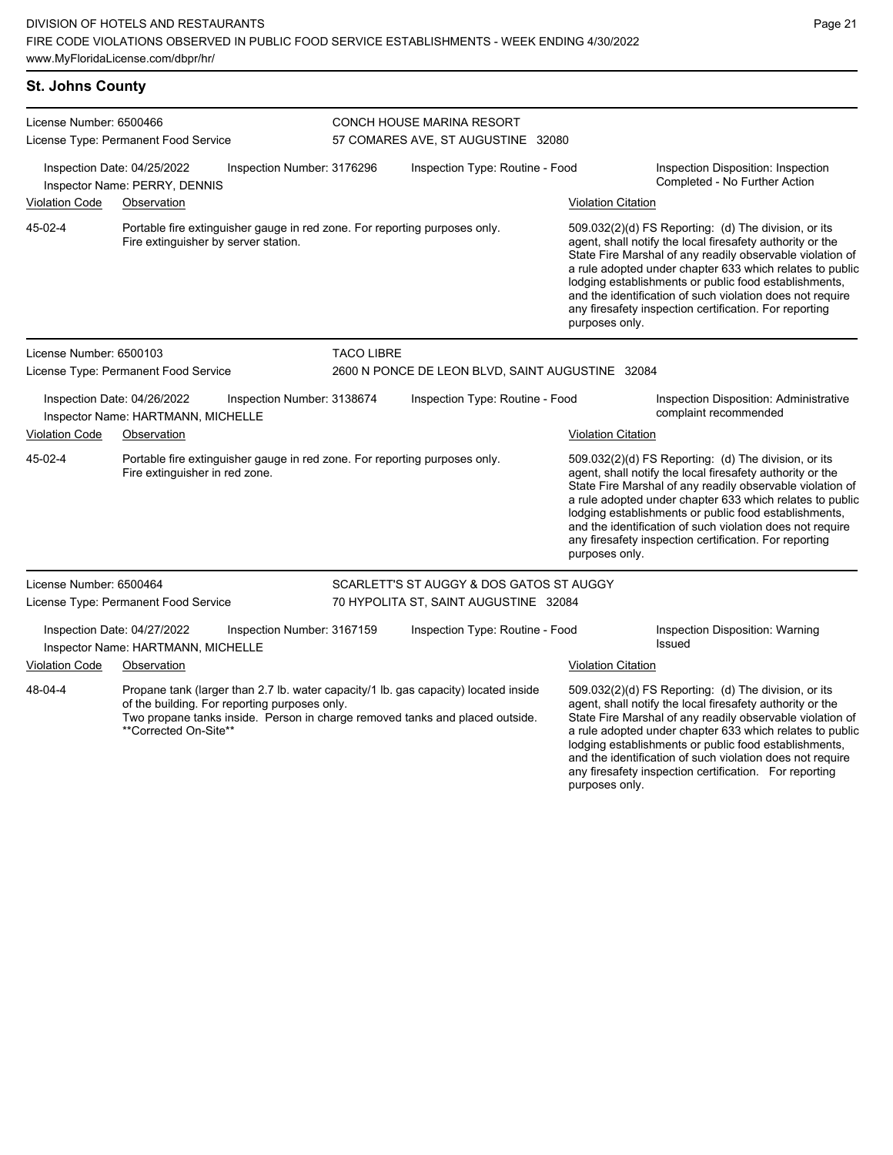| <b>St. Johns County</b>                                                                         |                                                                                                                                                                                                                                               |                                                                                                              |                                 |                                                                            |                                                                                                                                                                                                                                                                                                                                                                                                                                              |                                                                                                                                                                                                                                                                                                                                                                                                                            |  |  |
|-------------------------------------------------------------------------------------------------|-----------------------------------------------------------------------------------------------------------------------------------------------------------------------------------------------------------------------------------------------|--------------------------------------------------------------------------------------------------------------|---------------------------------|----------------------------------------------------------------------------|----------------------------------------------------------------------------------------------------------------------------------------------------------------------------------------------------------------------------------------------------------------------------------------------------------------------------------------------------------------------------------------------------------------------------------------------|----------------------------------------------------------------------------------------------------------------------------------------------------------------------------------------------------------------------------------------------------------------------------------------------------------------------------------------------------------------------------------------------------------------------------|--|--|
| License Number: 6500466                                                                         |                                                                                                                                                                                                                                               |                                                                                                              | CONCH HOUSE MARINA RESORT       |                                                                            |                                                                                                                                                                                                                                                                                                                                                                                                                                              |                                                                                                                                                                                                                                                                                                                                                                                                                            |  |  |
|                                                                                                 | License Type: Permanent Food Service                                                                                                                                                                                                          |                                                                                                              |                                 | 57 COMARES AVE, ST AUGUSTINE 32080                                         |                                                                                                                                                                                                                                                                                                                                                                                                                                              |                                                                                                                                                                                                                                                                                                                                                                                                                            |  |  |
|                                                                                                 | Inspection Date: 04/25/2022<br>Inspector Name: PERRY, DENNIS                                                                                                                                                                                  | Inspection Number: 3176296                                                                                   |                                 | Inspection Type: Routine - Food                                            |                                                                                                                                                                                                                                                                                                                                                                                                                                              | Inspection Disposition: Inspection<br>Completed - No Further Action                                                                                                                                                                                                                                                                                                                                                        |  |  |
| <b>Violation Code</b>                                                                           | Observation                                                                                                                                                                                                                                   |                                                                                                              |                                 |                                                                            | <b>Violation Citation</b>                                                                                                                                                                                                                                                                                                                                                                                                                    |                                                                                                                                                                                                                                                                                                                                                                                                                            |  |  |
| 45-02-4                                                                                         | Fire extinguisher by server station.                                                                                                                                                                                                          |                                                                                                              |                                 | Portable fire extinguisher gauge in red zone. For reporting purposes only. | purposes only.                                                                                                                                                                                                                                                                                                                                                                                                                               | 509.032(2)(d) FS Reporting: (d) The division, or its<br>agent, shall notify the local firesafety authority or the<br>State Fire Marshal of any readily observable violation of<br>a rule adopted under chapter 633 which relates to public<br>lodging establishments or public food establishments,<br>and the identification of such violation does not require<br>any firesafety inspection certification. For reporting |  |  |
| License Number: 6500103                                                                         |                                                                                                                                                                                                                                               |                                                                                                              |                                 | <b>TACO LIBRE</b>                                                          |                                                                                                                                                                                                                                                                                                                                                                                                                                              |                                                                                                                                                                                                                                                                                                                                                                                                                            |  |  |
|                                                                                                 | License Type: Permanent Food Service                                                                                                                                                                                                          |                                                                                                              |                                 | 2600 N PONCE DE LEON BLVD, SAINT AUGUSTINE 32084                           |                                                                                                                                                                                                                                                                                                                                                                                                                                              |                                                                                                                                                                                                                                                                                                                                                                                                                            |  |  |
| Inspection Date: 04/26/2022<br>Inspection Number: 3138674<br>Inspector Name: HARTMANN, MICHELLE |                                                                                                                                                                                                                                               |                                                                                                              | Inspection Type: Routine - Food |                                                                            | Inspection Disposition: Administrative<br>complaint recommended                                                                                                                                                                                                                                                                                                                                                                              |                                                                                                                                                                                                                                                                                                                                                                                                                            |  |  |
| <b>Violation Code</b>                                                                           | Observation                                                                                                                                                                                                                                   |                                                                                                              |                                 |                                                                            | <b>Violation Citation</b>                                                                                                                                                                                                                                                                                                                                                                                                                    |                                                                                                                                                                                                                                                                                                                                                                                                                            |  |  |
| 45-02-4                                                                                         |                                                                                                                                                                                                                                               | Portable fire extinguisher gauge in red zone. For reporting purposes only.<br>Fire extinguisher in red zone. |                                 |                                                                            | 509.032(2)(d) FS Reporting: (d) The division, or its<br>agent, shall notify the local firesafety authority or the<br>State Fire Marshal of any readily observable violation of<br>a rule adopted under chapter 633 which relates to public<br>lodging establishments or public food establishments,<br>and the identification of such violation does not require<br>any firesafety inspection certification. For reporting<br>purposes only. |                                                                                                                                                                                                                                                                                                                                                                                                                            |  |  |
| License Number: 6500464                                                                         |                                                                                                                                                                                                                                               |                                                                                                              |                                 | SCARLETT'S ST AUGGY & DOS GATOS ST AUGGY                                   |                                                                                                                                                                                                                                                                                                                                                                                                                                              |                                                                                                                                                                                                                                                                                                                                                                                                                            |  |  |
| License Type: Permanent Food Service                                                            |                                                                                                                                                                                                                                               | 70 HYPOLITA ST, SAINT AUGUSTINE 32084                                                                        |                                 |                                                                            |                                                                                                                                                                                                                                                                                                                                                                                                                                              |                                                                                                                                                                                                                                                                                                                                                                                                                            |  |  |
|                                                                                                 | Inspection Date: 04/27/2022<br>Inspector Name: HARTMANN, MICHELLE                                                                                                                                                                             | Inspection Number: 3167159                                                                                   |                                 | Inspection Type: Routine - Food                                            |                                                                                                                                                                                                                                                                                                                                                                                                                                              | Inspection Disposition: Warning<br><b>Issued</b>                                                                                                                                                                                                                                                                                                                                                                           |  |  |
| <b>Violation Code</b>                                                                           | Observation                                                                                                                                                                                                                                   |                                                                                                              |                                 |                                                                            | <b>Violation Citation</b>                                                                                                                                                                                                                                                                                                                                                                                                                    |                                                                                                                                                                                                                                                                                                                                                                                                                            |  |  |
| 48-04-4                                                                                         | Propane tank (larger than 2.7 lb. water capacity/1 lb. gas capacity) located inside<br>of the building. For reporting purposes only.<br>Two propane tanks inside. Person in charge removed tanks and placed outside.<br>**Corrected On-Site** |                                                                                                              |                                 |                                                                            |                                                                                                                                                                                                                                                                                                                                                                                                                                              | 509.032(2)(d) FS Reporting: (d) The division, or its<br>agent, shall notify the local firesafety authority or the<br>State Fire Marshal of any readily observable violation of<br>a rule adopted under chapter 633 which relates to public                                                                                                                                                                                 |  |  |

lodging establishments or public food establishments, and the identification of such violation does not require any firesafety inspection certification. For reporting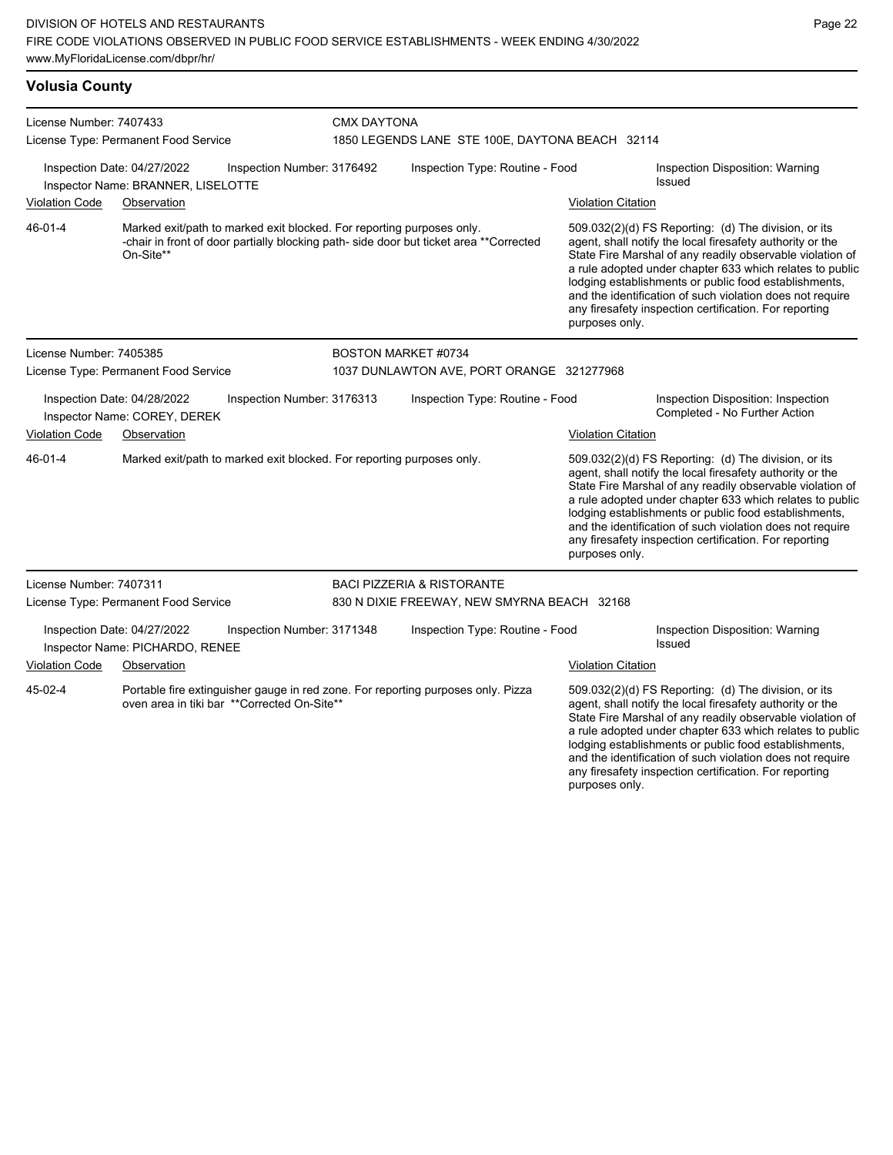## **Volusia County**

| License Number: 7407433 |                                                                   |                                                                       | <b>CMX DAYTONA</b>                              |                                                                                        |                           |                                                                                                                                                                                                                                                                                                                                                                                                                            |  |
|-------------------------|-------------------------------------------------------------------|-----------------------------------------------------------------------|-------------------------------------------------|----------------------------------------------------------------------------------------|---------------------------|----------------------------------------------------------------------------------------------------------------------------------------------------------------------------------------------------------------------------------------------------------------------------------------------------------------------------------------------------------------------------------------------------------------------------|--|
|                         | License Type: Permanent Food Service                              |                                                                       | 1850 LEGENDS LANE STE 100E, DAYTONA BEACH 32114 |                                                                                        |                           |                                                                                                                                                                                                                                                                                                                                                                                                                            |  |
|                         | Inspection Date: 04/27/2022<br>Inspector Name: BRANNER, LISELOTTE | Inspection Number: 3176492                                            |                                                 | Inspection Type: Routine - Food                                                        |                           | <b>Inspection Disposition: Warning</b><br>Issued                                                                                                                                                                                                                                                                                                                                                                           |  |
| <b>Violation Code</b>   | Observation                                                       |                                                                       |                                                 |                                                                                        | <b>Violation Citation</b> |                                                                                                                                                                                                                                                                                                                                                                                                                            |  |
| 46-01-4                 | On-Site**                                                         | Marked exit/path to marked exit blocked. For reporting purposes only. |                                                 | -chair in front of door partially blocking path- side door but ticket area **Corrected | purposes only.            | 509.032(2)(d) FS Reporting: (d) The division, or its<br>agent, shall notify the local firesafety authority or the<br>State Fire Marshal of any readily observable violation of<br>a rule adopted under chapter 633 which relates to public<br>lodging establishments or public food establishments,<br>and the identification of such violation does not require<br>any firesafety inspection certification. For reporting |  |
| License Number: 7405385 |                                                                   |                                                                       | <b>BOSTON MARKET #0734</b>                      |                                                                                        |                           |                                                                                                                                                                                                                                                                                                                                                                                                                            |  |
|                         | License Type: Permanent Food Service                              |                                                                       |                                                 | 1037 DUNLAWTON AVE, PORT ORANGE 321277968                                              |                           |                                                                                                                                                                                                                                                                                                                                                                                                                            |  |
|                         | Inspection Date: 04/28/2022<br>Inspector Name: COREY, DEREK       | Inspection Number: 3176313                                            |                                                 | Inspection Type: Routine - Food                                                        |                           | Inspection Disposition: Inspection<br>Completed - No Further Action                                                                                                                                                                                                                                                                                                                                                        |  |
| <b>Violation Code</b>   | Observation                                                       |                                                                       |                                                 |                                                                                        | <b>Violation Citation</b> |                                                                                                                                                                                                                                                                                                                                                                                                                            |  |
| 46-01-4                 |                                                                   | Marked exit/path to marked exit blocked. For reporting purposes only. |                                                 |                                                                                        | purposes only.            | 509.032(2)(d) FS Reporting: (d) The division, or its<br>agent, shall notify the local firesafety authority or the<br>State Fire Marshal of any readily observable violation of<br>a rule adopted under chapter 633 which relates to public<br>lodging establishments or public food establishments,<br>and the identification of such violation does not require<br>any firesafety inspection certification. For reporting |  |
| License Number: 7407311 |                                                                   |                                                                       |                                                 | <b>BACI PIZZERIA &amp; RISTORANTE</b>                                                  |                           |                                                                                                                                                                                                                                                                                                                                                                                                                            |  |
|                         | License Type: Permanent Food Service                              |                                                                       |                                                 | 830 N DIXIE FREEWAY, NEW SMYRNA BEACH 32168                                            |                           |                                                                                                                                                                                                                                                                                                                                                                                                                            |  |
|                         | Inspection Date: 04/27/2022<br>Inspector Name: PICHARDO, RENEE    | Inspection Number: 3171348                                            |                                                 | Inspection Type: Routine - Food                                                        |                           | Inspection Disposition: Warning<br>Issued                                                                                                                                                                                                                                                                                                                                                                                  |  |
| <b>Violation Code</b>   | Observation                                                       |                                                                       |                                                 |                                                                                        | <b>Violation Citation</b> |                                                                                                                                                                                                                                                                                                                                                                                                                            |  |
| 45-02-4                 |                                                                   | oven area in tiki bar **Corrected On-Site**                           |                                                 | Portable fire extinguisher gauge in red zone. For reporting purposes only. Pizza       | purposes only.            | 509.032(2)(d) FS Reporting: (d) The division, or its<br>agent, shall notify the local firesafety authority or the<br>State Fire Marshal of any readily observable violation of<br>a rule adopted under chapter 633 which relates to public<br>lodging establishments or public food establishments,<br>and the identification of such violation does not require<br>any firesafety inspection certification. For reporting |  |